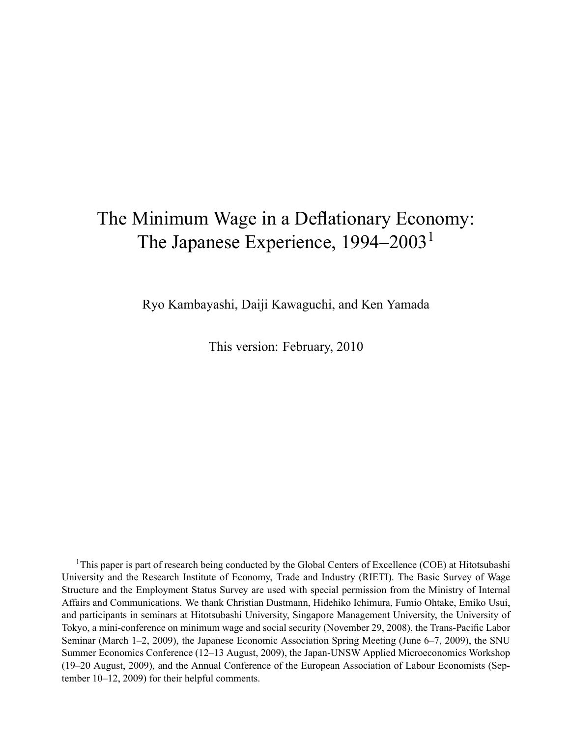# The Minimum Wage in a Deflationary Economy: The Japanese Experience, 1994-2003<sup>1</sup>

Ryo Kambayashi, Daiji Kawaguchi, and Ken Yamada

This version: February, 2010

<sup>1</sup>This paper is part of research being conducted by the Global Centers of Excellence (COE) at Hitotsubashi University and the Research Institute of Economy, Trade and Industry (RIETI). The Basic Survey of Wage Structure and the Employment Status Survey are used with special permission from the Ministry of Internal Affairs and Communications. We thank Christian Dustmann, Hidehiko Ichimura, Fumio Ohtake, Emiko Usui, and participants in seminars at Hitotsubashi University, Singapore Management University, the University of Tokyo, a mini-conference on minimum wage and social security (November 29, 2008), the Trans-Pacific Labor Seminar (March 1–2, 2009), the Japanese Economic Association Spring Meeting (June 6–7, 2009), the SNU Summer Economics Conference (12–13 August, 2009), the Japan-UNSW Applied Microeconomics Workshop (19–20 August, 2009), and the Annual Conference of the European Association of Labour Economists (September  $10-12$ , 2009) for their helpful comments.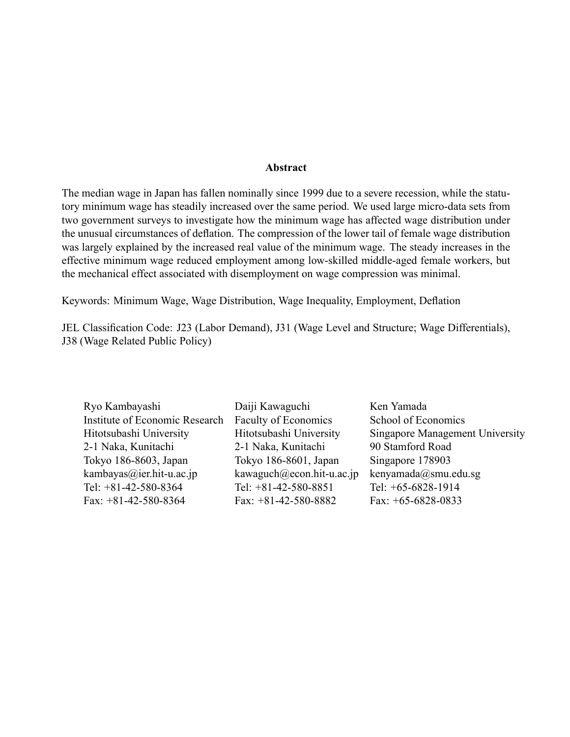#### Abstract

The median wage in Japan has fallen nominally since 1999 due to a severe recession, while the statutory minimum wage has steadily increased over the same period. We used large micro-data sets from two government surveys to investigate how the minimum wage has affected wage distribution under the unusual circumstances of deflation. The compression of the lower tail of female wage distribution was largely explained by the increased real value of the minimum wage. The steady increases in the effective minimum wage reduced employment among low-skilled middle-aged female workers, but the mechanical effect associated with disemployment on wage compression was minimal.

Keywords: Minimum Wage, Wage Distribution, Wage Inequality, Employment, Deflation

JEL Classification Code: J23 (Labor Demand), J31 (Wage Level and Structure; Wage Differentials), J38 (Wage Related Public Policy)

Ryo Kambayashi Daiji Kawaguchi Ken Yamada Institute of Economic Research Faculty of Economics School of Economics 2-1 Naka, Kunitachi 2-1 Naka, Kunitachi 90 Stamford Road Tokyo 186-8603, Japan Tokyo 186-8601, Japan Singapore 178903 kambayas@ier.hit-u.ac.jp kawaguch@econ.hit-u.ac.jp kenyamada@smu.edu.sg Tel: +81-42-580-8364 Tel: +81-42-580-8851 Tel: +65-6828-1914 Fax: +81-42-580-8364 Fax: +81-42-580-8882 Fax: +65-6828-0833

Hitotsubashi University Hitotsubashi University Singapore Management University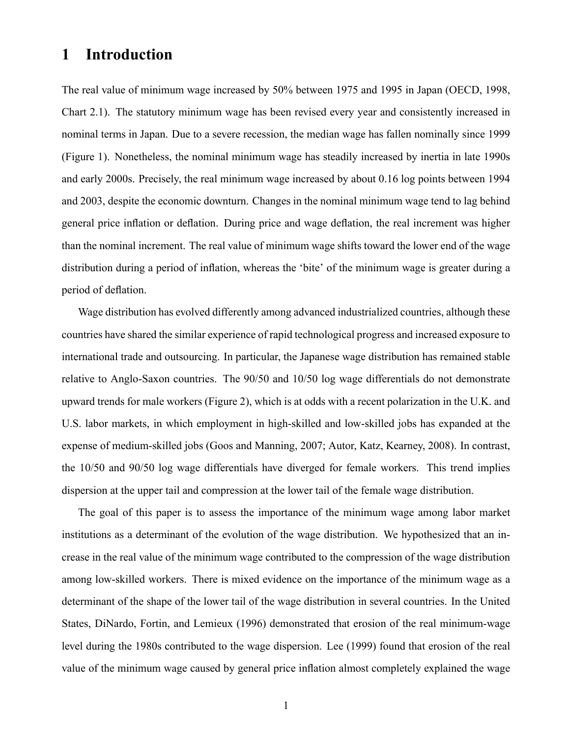## 1 Introduction

The real value of minimum wage increased by 50% between 1975 and 1995 in Japan (OECD, 1998, Chart 2.1). The statutory minimum wage has been revised every year and consistently increased in nominal terms in Japan. Due to a severe recession, the median wage has fallen nominally since 1999 (Figure 1). Nonetheless, the nominal minimum wage has steadily increased by inertia in late 1990s and early 2000s. Precisely, the real minimum wage increased by about 0.16 log points between 1994 and 2003, despite the economic downturn. Changes in the nominal minimum wage tend to lag behind general price inflation or deflation. During price and wage deflation, the real increment was higher than the nominal increment. The real value of minimum wage shifts toward the lower end of the wage distribution during a period of inflation, whereas the 'bite' of the minimum wage is greater during a period of deflation.

Wage distribution has evolved differently among advanced industrialized countries, although these countries have shared the similar experience of rapid technological progress and increased exposure to international trade and outsourcing. In particular, the Japanese wage distribution has remained stable relative to Anglo-Saxon countries. The 90/50 and 10/50 log wage differentials do not demonstrate upward trends for male workers (Figure 2), which is at odds with a recent polarization in the U.K. and U.S. labor markets, in which employment in high-skilled and low-skilled jobs has expanded at the expense of medium-skilled jobs (Goos and Manning, 2007; Autor, Katz, Kearney, 2008). In contrast, the 10/50 and 90/50 log wage differentials have diverged for female workers. This trend implies dispersion at the upper tail and compression at the lower tail of the female wage distribution.

The goal of this paper is to assess the importance of the minimum wage among labor market institutions as a determinant of the evolution of the wage distribution. We hypothesized that an increase in the real value of the minimum wage contributed to the compression of the wage distribution among low-skilled workers. There is mixed evidence on the importance of the minimum wage as a determinant of the shape of the lower tail of the wage distribution in several countries. In the United States, DiNardo, Fortin, and Lemieux (1996) demonstrated that erosion of the real minimum-wage level during the 1980s contributed to the wage dispersion. Lee (1999) found that erosion of the real value of the minimum wage caused by general price inflation almost completely explained the wage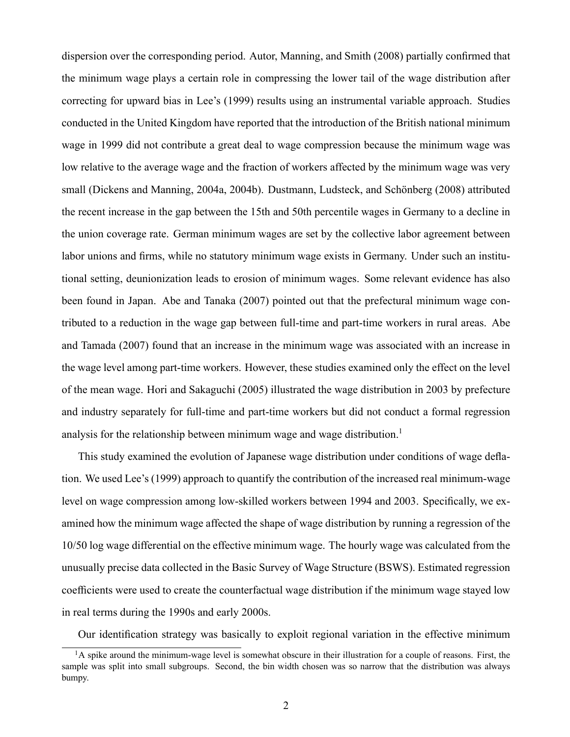dispersion over the corresponding period. Autor, Manning, and Smith (2008) partially confirmed that the minimum wage plays a certain role in compressing the lower tail of the wage distribution after correcting for upward bias in Lee's (1999) results using an instrumental variable approach. Studies conducted in the United Kingdom have reported that the introduction of the British national minimum wage in 1999 did not contribute a great deal to wage compression because the minimum wage was low relative to the average wage and the fraction of workers affected by the minimum wage was very small (Dickens and Manning, 2004a, 2004b). Dustmann, Ludsteck, and Schönberg (2008) attributed the recent increase in the gap between the 15th and 50th percentile wages in Germany to a decline in the union coverage rate. German minimum wages are set by the collective labor agreement between labor unions and firms, while no statutory minimum wage exists in Germany. Under such an institutional setting, deunionization leads to erosion of minimum wages. Some relevant evidence has also been found in Japan. Abe and Tanaka (2007) pointed out that the prefectural minimum wage contributed to a reduction in the wage gap between full-time and part-time workers in rural areas. Abe and Tamada (2007) found that an increase in the minimum wage was associated with an increase in the wage level among part-time workers. However, these studies examined only the effect on the level of the mean wage. Hori and Sakaguchi (2005) illustrated the wage distribution in 2003 by prefecture and industry separately for full-time and part-time workers but did not conduct a formal regression analysis for the relationship between minimum wage and wage distribution.<sup>1</sup>

This study examined the evolution of Japanese wage distribution under conditions of wage deflation. We used Lee's (1999) approach to quantify the contribution of the increased real minimum-wage level on wage compression among low-skilled workers between 1994 and 2003. Specifically, we examined how the minimum wage affected the shape of wage distribution by running a regression of the 10/50 log wage differential on the effective minimum wage. The hourly wage was calculated from the unusually precise data collected in the Basic Survey of Wage Structure (BSWS). Estimated regression coefficients were used to create the counterfactual wage distribution if the minimum wage stayed low in real terms during the 1990s and early 2000s.

Our identification strategy was basically to exploit regional variation in the effective minimum

<sup>&</sup>lt;sup>1</sup>A spike around the minimum-wage level is somewhat obscure in their illustration for a couple of reasons. First, the sample was split into small subgroups. Second, the bin width chosen was so narrow that the distribution was always bumpy.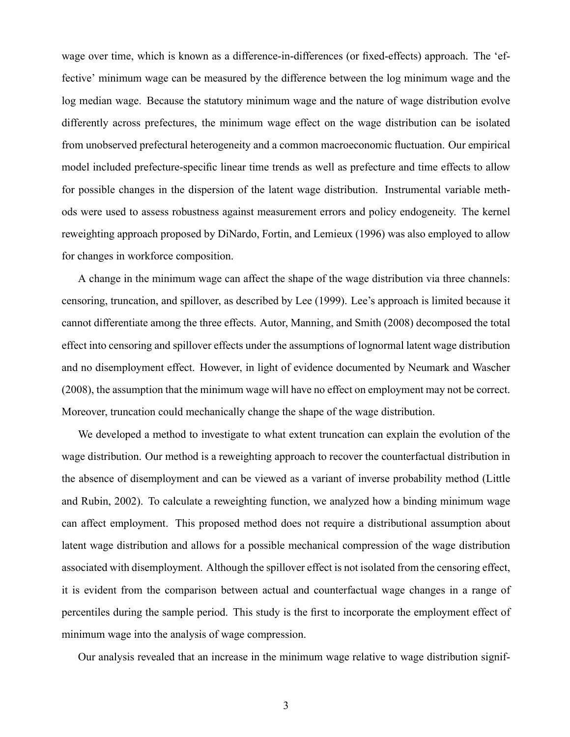wage over time, which is known as a difference-in-differences (or fixed-effects) approach. The 'effective' minimum wage can be measured by the difference between the log minimum wage and the log median wage. Because the statutory minimum wage and the nature of wage distribution evolve differently across prefectures, the minimum wage effect on the wage distribution can be isolated from unobserved prefectural heterogeneity and a common macroeconomic fluctuation. Our empirical model included prefecture-specific linear time trends as well as prefecture and time effects to allow for possible changes in the dispersion of the latent wage distribution. Instrumental variable methods were used to assess robustness against measurement errors and policy endogeneity. The kernel reweighting approach proposed by DiNardo, Fortin, and Lemieux (1996) was also employed to allow for changes in workforce composition.

A change in the minimum wage can affect the shape of the wage distribution via three channels: censoring, truncation, and spillover, as described by Lee (1999). Lee's approach is limited because it cannot differentiate among the three effects. Autor, Manning, and Smith (2008) decomposed the total effect into censoring and spillover effects under the assumptions of lognormal latent wage distribution and no disemployment effect. However, in light of evidence documented by Neumark and Wascher (2008), the assumption that the minimum wage will have no effect on employment may not be correct. Moreover, truncation could mechanically change the shape of the wage distribution.

We developed a method to investigate to what extent truncation can explain the evolution of the wage distribution. Our method is a reweighting approach to recover the counterfactual distribution in the absence of disemployment and can be viewed as a variant of inverse probability method (Little and Rubin, 2002). To calculate a reweighting function, we analyzed how a binding minimum wage can affect employment. This proposed method does not require a distributional assumption about latent wage distribution and allows for a possible mechanical compression of the wage distribution associated with disemployment. Although the spillover effect is not isolated from the censoring effect, it is evident from the comparison between actual and counterfactual wage changes in a range of percentiles during the sample period. This study is the first to incorporate the employment effect of minimum wage into the analysis of wage compression.

Our analysis revealed that an increase in the minimum wage relative to wage distribution signif-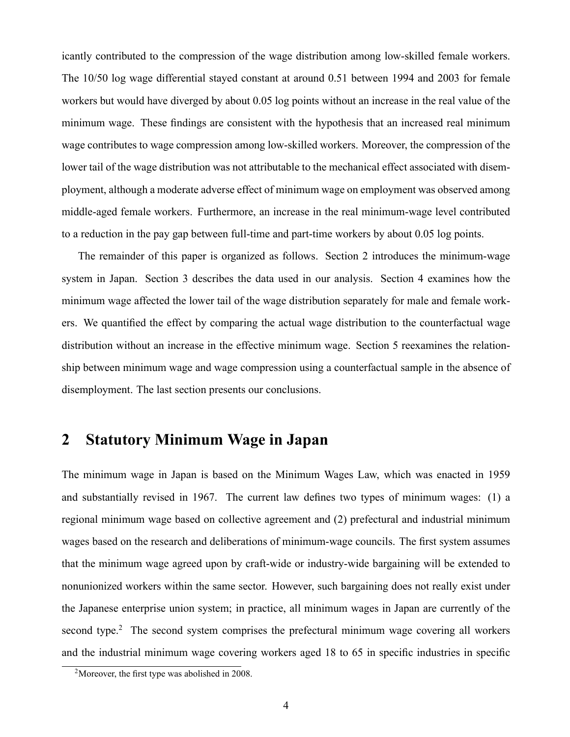icantly contributed to the compression of the wage distribution among low-skilled female workers. The 10/50 log wage differential stayed constant at around 0.51 between 1994 and 2003 for female workers but would have diverged by about 0.05 log points without an increase in the real value of the minimum wage. These findings are consistent with the hypothesis that an increased real minimum wage contributes to wage compression among low-skilled workers. Moreover, the compression of the lower tail of the wage distribution was not attributable to the mechanical effect associated with disemployment, although a moderate adverse effect of minimum wage on employment was observed among middle-aged female workers. Furthermore, an increase in the real minimum-wage level contributed to a reduction in the pay gap between full-time and part-time workers by about 0.05 log points.

The remainder of this paper is organized as follows. Section 2 introduces the minimum-wage system in Japan. Section 3 describes the data used in our analysis. Section 4 examines how the minimum wage affected the lower tail of the wage distribution separately for male and female workers. We quantified the effect by comparing the actual wage distribution to the counterfactual wage distribution without an increase in the effective minimum wage. Section 5 reexamines the relationship between minimum wage and wage compression using a counterfactual sample in the absence of disemployment. The last section presents our conclusions.

## 2 Statutory Minimum Wage in Japan

The minimum wage in Japan is based on the Minimum Wages Law, which was enacted in 1959 and substantially revised in 1967. The current law defines two types of minimum wages: (1) a regional minimum wage based on collective agreement and (2) prefectural and industrial minimum wages based on the research and deliberations of minimum-wage councils. The first system assumes that the minimum wage agreed upon by craft-wide or industry-wide bargaining will be extended to nonunionized workers within the same sector. However, such bargaining does not really exist under the Japanese enterprise union system; in practice, all minimum wages in Japan are currently of the second type.<sup>2</sup> The second system comprises the prefectural minimum wage covering all workers and the industrial minimum wage covering workers aged 18 to 65 in specific industries in specific

<sup>&</sup>lt;sup>2</sup>Moreover, the first type was abolished in 2008.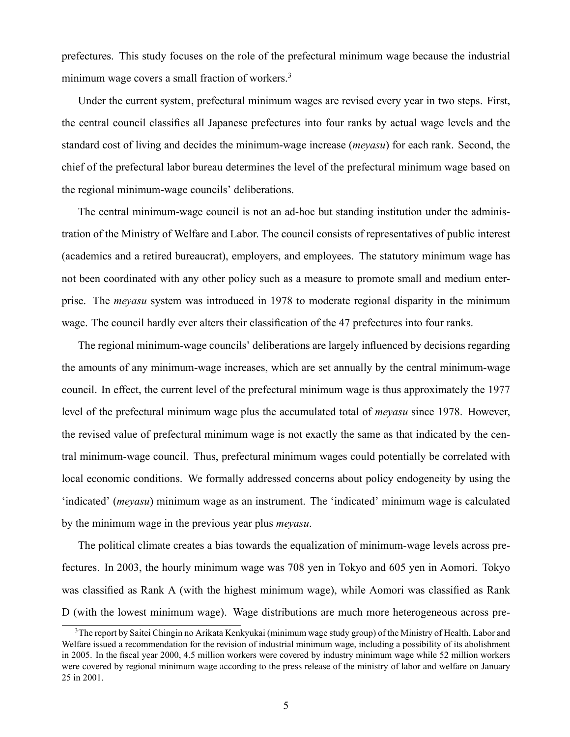prefectures. This study focuses on the role of the prefectural minimum wage because the industrial minimum wage covers a small fraction of workers.<sup>3</sup>

Under the current system, prefectural minimum wages are revised every year in two steps. First, the central council classifies all Japanese prefectures into four ranks by actual wage levels and the standard cost of living and decides the minimum-wage increase (meyasu) for each rank. Second, the chief of the prefectural labor bureau determines the level of the prefectural minimum wage based on the regional minimum-wage councils' deliberations.

The central minimum-wage council is not an ad-hoc but standing institution under the administration of the Ministry of Welfare and Labor. The council consists of representatives of public interest (academics and a retired bureaucrat), employers, and employees. The statutory minimum wage has not been coordinated with any other policy such as a measure to promote small and medium enterprise. The *meyasu* system was introduced in 1978 to moderate regional disparity in the minimum wage. The council hardly ever alters their classification of the 47 prefectures into four ranks.

The regional minimum-wage councils' deliberations are largely influenced by decisions regarding the amounts of any minimum-wage increases, which are set annually by the central minimum-wage council. In effect, the current level of the prefectural minimum wage is thus approximately the 1977 level of the prefectural minimum wage plus the accumulated total of *meyasu* since 1978. However, the revised value of prefectural minimum wage is not exactly the same as that indicated by the central minimum-wage council. Thus, prefectural minimum wages could potentially be correlated with local economic conditions. We formally addressed concerns about policy endogeneity by using the 'indicated' (*meyasu*) minimum wage as an instrument. The 'indicated' minimum wage is calculated by the minimum wage in the previous year plus meyasu.

The political climate creates a bias towards the equalization of minimum-wage levels across prefectures. In 2003, the hourly minimum wage was 708 yen in Tokyo and 605 yen in Aomori. Tokyo was classified as Rank A (with the highest minimum wage), while Aomori was classified as Rank D (with the lowest minimum wage). Wage distributions are much more heterogeneous across pre-

<sup>&</sup>lt;sup>3</sup>The report by Saitei Chingin no Arikata Kenkyukai (minimum wage study group) of the Ministry of Health, Labor and Welfare issued a recommendation for the revision of industrial minimum wage, including a possibility of its abolishment in 2005. In the fiscal year 2000, 4.5 million workers were covered by industry minimum wage while 52 million workers were covered by regional minimum wage according to the press release of the ministry of labor and welfare on January 25 in 2001.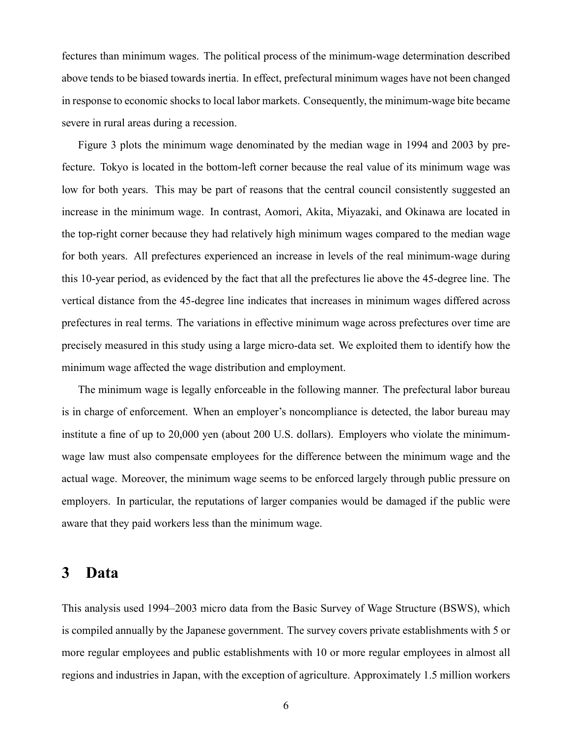fectures than minimum wages. The political process of the minimum-wage determination described above tends to be biased towards inertia. In effect, prefectural minimum wages have not been changed in response to economic shocks to local labor markets. Consequently, the minimum-wage bite became severe in rural areas during a recession.

Figure 3 plots the minimum wage denominated by the median wage in 1994 and 2003 by prefecture. Tokyo is located in the bottom-left corner because the real value of its minimum wage was low for both years. This may be part of reasons that the central council consistently suggested an increase in the minimum wage. In contrast, Aomori, Akita, Miyazaki, and Okinawa are located in the top-right corner because they had relatively high minimum wages compared to the median wage for both years. All prefectures experienced an increase in levels of the real minimum-wage during this 10-year period, as evidenced by the fact that all the prefectures lie above the 45-degree line. The vertical distance from the 45-degree line indicates that increases in minimum wages differed across prefectures in real terms. The variations in effective minimum wage across prefectures over time are precisely measured in this study using a large micro-data set. We exploited them to identify how the minimum wage affected the wage distribution and employment.

The minimum wage is legally enforceable in the following manner. The prefectural labor bureau is in charge of enforcement. When an employer's noncompliance is detected, the labor bureau may institute a fine of up to 20,000 yen (about 200 U.S. dollars). Employers who violate the minimumwage law must also compensate employees for the difference between the minimum wage and the actual wage. Moreover, the minimum wage seems to be enforced largely through public pressure on employers. In particular, the reputations of larger companies would be damaged if the public were aware that they paid workers less than the minimum wage.

### 3 Data

This analysis used 1994–2003 micro data from the Basic Survey of Wage Structure (BSWS), which is compiled annually by the Japanese government. The survey covers private establishments with 5 or more regular employees and public establishments with 10 or more regular employees in almost all regions and industries in Japan, with the exception of agriculture. Approximately 1.5 million workers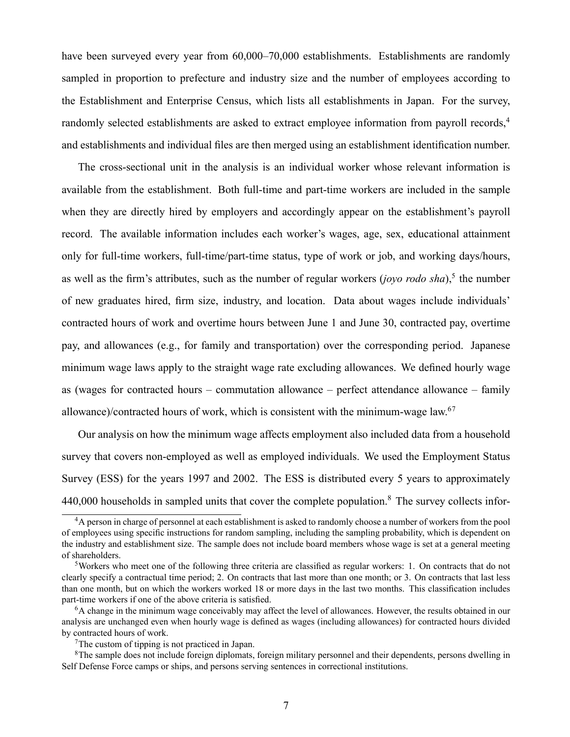have been surveyed every year from 60,000–70,000 establishments. Establishments are randomly sampled in proportion to prefecture and industry size and the number of employees according to the Establishment and Enterprise Census, which lists all establishments in Japan. For the survey, randomly selected establishments are asked to extract employee information from payroll records.<sup>4</sup> and establishments and individual files are then merged using an establishment identification number.

The cross-sectional unit in the analysis is an individual worker whose relevant information is available from the establishment. Both full-time and part-time workers are included in the sample when they are directly hired by employers and accordingly appear on the establishment's payroll record. The available information includes each worker's wages, age, sex, educational attainment only for full-time workers, full-time/part-time status, type of work or job, and working days/hours, as well as the firm's attributes, such as the number of regular workers (joyo rodo sha),<sup>5</sup> the number of new graduates hired, firm size, industry, and location. Data about wages include individuals' contracted hours of work and overtime hours between June 1 and June 30, contracted pay, overtime pay, and allowances (e.g., for family and transportation) over the corresponding period. Japanese minimum wage laws apply to the straight wage rate excluding allowances. We defined hourly wage as (wages for contracted hours  $-$  commutation allowance  $-$  perfect attendance allowance  $-$  family allowance)/contracted hours of work, which is consistent with the minimum-wage law.<sup>67</sup>

Our analysis on how the minimum wage affects employment also included data from a household survey that covers non-employed as well as employed individuals. We used the Employment Status Survey (ESS) for the years 1997 and 2002. The ESS is distributed every 5 years to approximately 440,000 households in sampled units that cover the complete population.<sup>8</sup> The survey collects infor-

<sup>&</sup>lt;sup>4</sup>A person in charge of personnel at each establishment is asked to randomly choose a number of workers from the pool of employees using specific instructions for random sampling, including the sampling probability, which is dependent on the industry and establishment size. The sample does not include board members whose wage is set at a general meeting of shareholders.

 $5$ Workers who meet one of the following three criteria are classified as regular workers: 1. On contracts that do not clearly specify a contractual time period; 2. On contracts that last more than one month; or 3. On contracts that last less than one month, but on which the workers worked 18 or more days in the last two months. This classification includes part-time workers if one of the above criteria is satisfied.

<sup>6</sup>A change in the minimum wage conceivably may affect the level of allowances. However, the results obtained in our analysis are unchanged even when hourly wage is defined as wages (including allowances) for contracted hours divided by contracted hours of work.

<sup>7</sup>The custom of tipping is not practiced in Japan.

<sup>&</sup>lt;sup>8</sup>The sample does not include foreign diplomats, foreign military personnel and their dependents, persons dwelling in Self Defense Force camps or ships, and persons serving sentences in correctional institutions.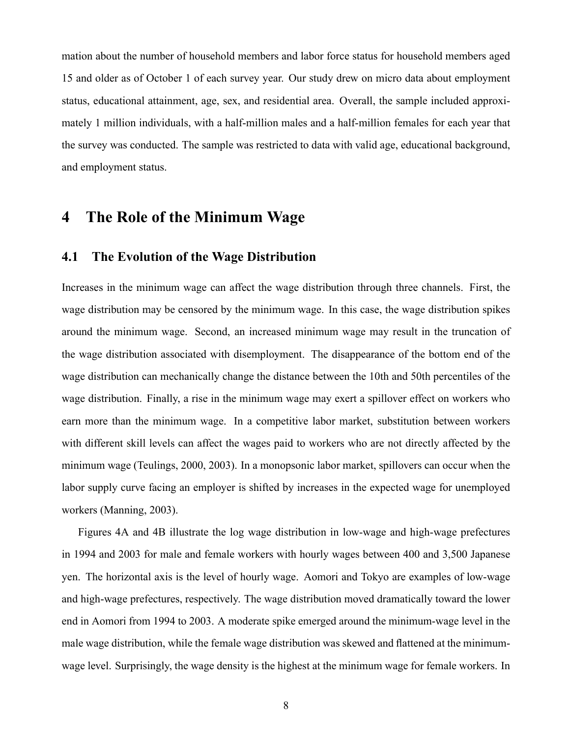mation about the number of household members and labor force status for household members aged 15 and older as of October 1 of each survey year. Our study drew on micro data about employment status, educational attainment, age, sex, and residential area. Overall, the sample included approximately 1 million individuals, with a half-million males and a half-million females for each year that the survey was conducted. The sample was restricted to data with valid age, educational background, and employment status.

### 4 The Role of the Minimum Wage

#### 4.1 The Evolution of the Wage Distribution

Increases in the minimum wage can affect the wage distribution through three channels. First, the wage distribution may be censored by the minimum wage. In this case, the wage distribution spikes around the minimum wage. Second, an increased minimum wage may result in the truncation of the wage distribution associated with disemployment. The disappearance of the bottom end of the wage distribution can mechanically change the distance between the 10th and 50th percentiles of the wage distribution. Finally, a rise in the minimum wage may exert a spillover effect on workers who earn more than the minimum wage. In a competitive labor market, substitution between workers with different skill levels can affect the wages paid to workers who are not directly affected by the minimum wage (Teulings, 2000, 2003). In a monopsonic labor market, spillovers can occur when the labor supply curve facing an employer is shifted by increases in the expected wage for unemployed workers (Manning, 2003).

Figures 4A and 4B illustrate the log wage distribution in low-wage and high-wage prefectures in 1994 and 2003 for male and female workers with hourly wages between 400 and 3,500 Japanese yen. The horizontal axis is the level of hourly wage. Aomori and Tokyo are examples of low-wage and high-wage prefectures, respectively. The wage distribution moved dramatically toward the lower end in Aomori from 1994 to 2003. A moderate spike emerged around the minimum-wage level in the male wage distribution, while the female wage distribution was skewed and flattened at the minimumwage level. Surprisingly, the wage density is the highest at the minimum wage for female workers. In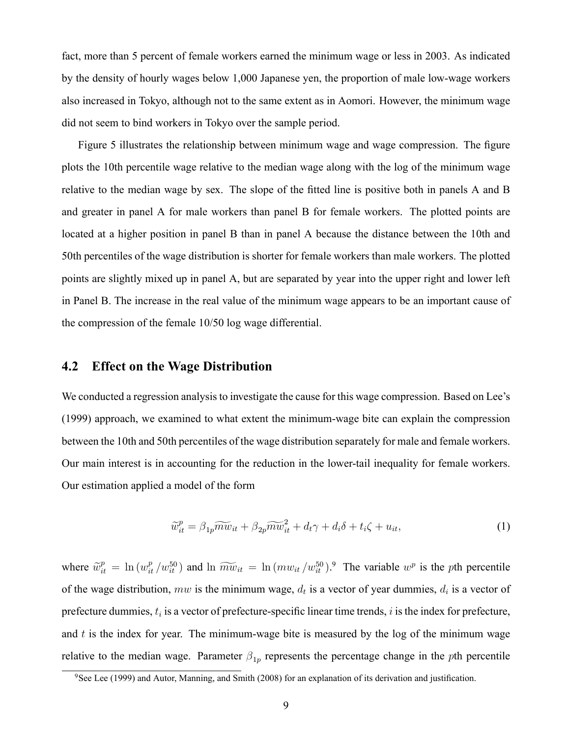fact, more than 5 percent of female workers earned the minimum wage or less in 2003. As indicated by the density of hourly wages below 1,000 Japanese yen, the proportion of male low-wage workers also increased in Tokyo, although not to the same extent as in Aomori. However, the minimum wage did not seem to bind workers in Tokyo over the sample period.

Figure 5 illustrates the relationship between minimum wage and wage compression. The figure plots the 10th percentile wage relative to the median wage along with the log of the minimum wage relative to the median wage by sex. The slope of the fitted line is positive both in panels A and B and greater in panel A for male workers than panel B for female workers. The plotted points are located at a higher position in panel B than in panel A because the distance between the 10th and 50th percentiles of the wage distribution is shorter for female workers than male workers. The plotted points are slightly mixed up in panel A, but are separated by year into the upper right and lower left in Panel B. The increase in the real value of the minimum wage appears to be an important cause of the compression of the female 10/50 log wage differential.

#### 4.2 Effect on the Wage Distribution

We conducted a regression analysis to investigate the cause for this wage compression. Based on Lee's (1999) approach, we examined to what extent the minimum-wage bite can explain the compression between the 10th and 50th percentiles of the wage distribution separately for male and female workers. Our main interest is in accounting for the reduction in the lower-tail inequality for female workers. Our estimation applied a model of the form

$$
\widetilde{w}_{it}^p = \beta_{1p} \widetilde{mw}_{it} + \beta_{2p} \widetilde{mw}_{it}^2 + d_t \gamma + d_i \delta + t_i \zeta + u_{it},\tag{1}
$$

where  $\tilde{w}_{it}^p = \ln(w_{it}^p/w_{it}^{50})$  and  $\ln \widetilde{mw}_{it} = \ln(mw_{it}/w_{it}^{50})$ . The variable  $w^p$  is the pth percentile of the wage distribution, mw is the minimum wage,  $d_t$  is a vector of year dummies,  $d_i$  is a vector of prefecture dummies,  $t_i$  is a vector of prefecture-specific linear time trends, i is the index for prefecture, and  $t$  is the index for year. The minimum-wage bite is measured by the log of the minimum wage relative to the median wage. Parameter  $\beta_{1p}$  represents the percentage change in the pth percentile

 $9$ See Lee (1999) and Autor, Manning, and Smith (2008) for an explanation of its derivation and justification.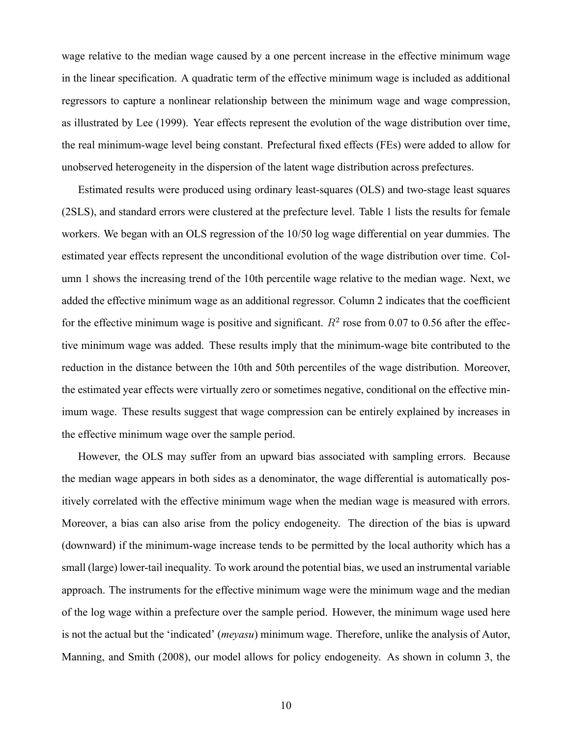wage relative to the median wage caused by a one percent increase in the effective minimum wage in the linear specification. A quadratic term of the effective minimum wage is included as additional regressors to capture a nonlinear relationship between the minimum wage and wage compression, as illustrated by Lee (1999). Year effects represent the evolution of the wage distribution over time, the real minimum-wage level being constant. Prefectural fixed effects (FEs) were added to allow for unobserved heterogeneity in the dispersion of the latent wage distribution across prefectures.

Estimated results were produced using ordinary least-squares (OLS) and two-stage least squares (2SLS), and standard errors were clustered at the prefecture level. Table 1 lists the results for female workers. We began with an OLS regression of the 10/50 log wage differential on year dummies. The estimated year effects represent the unconditional evolution of the wage distribution over time. Column 1 shows the increasing trend of the 10th percentile wage relative to the median wage. Next, we added the effective minimum wage as an additional regressor. Column 2 indicates that the coefficient for the effective minimum wage is positive and significant.  $R^2$  rose from 0.07 to 0.56 after the effective minimum wage was added. These results imply that the minimum-wage bite contributed to the reduction in the distance between the 10th and 50th percentiles of the wage distribution. Moreover, the estimated year effects were virtually zero or sometimes negative, conditional on the effective minimum wage. These results suggest that wage compression can be entirely explained by increases in the effective minimum wage over the sample period.

However, the OLS may suffer from an upward bias associated with sampling errors. Because the median wage appears in both sides as a denominator, the wage differential is automatically positively correlated with the effective minimum wage when the median wage is measured with errors. Moreover, a bias can also arise from the policy endogeneity. The direction of the bias is upward (downward) if the minimum-wage increase tends to be permitted by the local authority which has a small (large) lower-tail inequality. To work around the potential bias, we used an instrumental variable approach. The instruments for the effective minimum wage were the minimum wage and the median of the log wage within a prefecture over the sample period. However, the minimum wage used here is not the actual but the 'indicated' *(meyasu)* minimum wage. Therefore, unlike the analysis of Autor, Manning, and Smith (2008), our model allows for policy endogeneity. As shown in column 3, the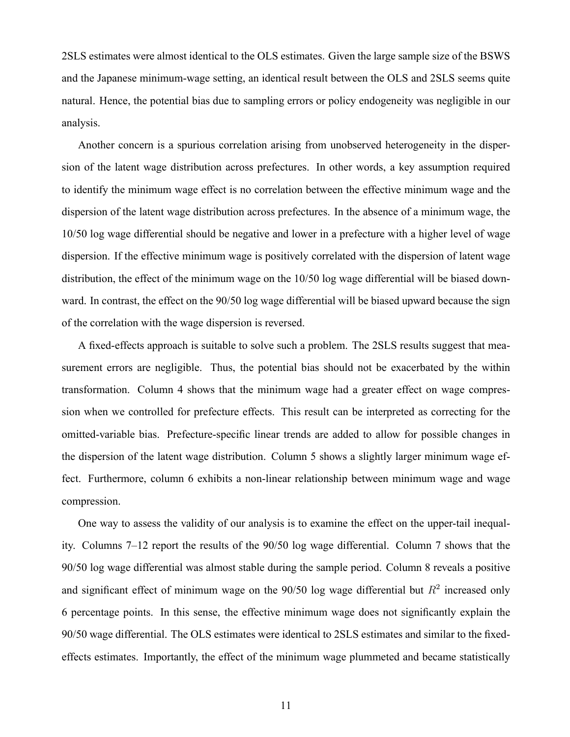2SLS estimates were almost identical to the OLS estimates. Given the large sample size of the BSWS and the Japanese minimum-wage setting, an identical result between the OLS and 2SLS seems quite natural. Hence, the potential bias due to sampling errors or policy endogeneity was negligible in our analysis.

Another concern is a spurious correlation arising from unobserved heterogeneity in the dispersion of the latent wage distribution across prefectures. In other words, a key assumption required to identify the minimum wage effect is no correlation between the effective minimum wage and the dispersion of the latent wage distribution across prefectures. In the absence of a minimum wage, the 10/50 log wage differential should be negative and lower in a prefecture with a higher level of wage dispersion. If the effective minimum wage is positively correlated with the dispersion of latent wage distribution, the effect of the minimum wage on the 10/50 log wage differential will be biased downward. In contrast, the effect on the 90/50 log wage differential will be biased upward because the sign of the correlation with the wage dispersion is reversed.

A fixed-effects approach is suitable to solve such a problem. The 2SLS results suggest that measurement errors are negligible. Thus, the potential bias should not be exacerbated by the within transformation. Column 4 shows that the minimum wage had a greater effect on wage compression when we controlled for prefecture effects. This result can be interpreted as correcting for the omitted-variable bias. Prefecture-specific linear trends are added to allow for possible changes in the dispersion of the latent wage distribution. Column 5 shows a slightly larger minimum wage effect. Furthermore, column 6 exhibits a non-linear relationship between minimum wage and wage compression.

One way to assess the validity of our analysis is to examine the effect on the upper-tail inequality. Columns  $7-12$  report the results of the 90/50 log wage differential. Column 7 shows that the 90/50 log wage differential was almost stable during the sample period. Column 8 reveals a positive and significant effect of minimum wage on the  $90/50$  log wage differential but  $R<sup>2</sup>$  increased only 6 percentage points. In this sense, the effective minimum wage does not significantly explain the 90/50 wage differential. The OLS estimates were identical to 2SLS estimates and similar to the fixedeffects estimates. Importantly, the effect of the minimum wage plummeted and became statistically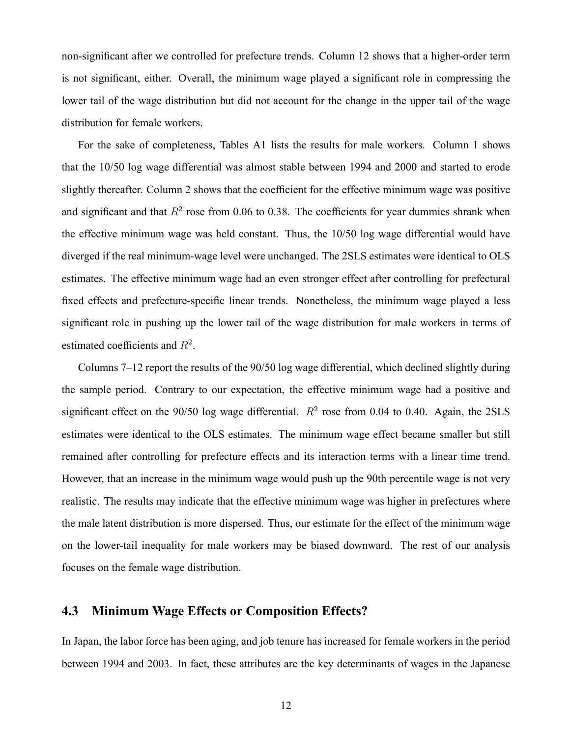non-significant after we controlled for prefecture trends. Column 12 shows that a higher-order term is not significant, either. Overall, the minimum wage played a significant role in compressing the lower tail of the wage distribution but did not account for the change in the upper tail of the wage distribution for female workers.

For the sake of completeness, Tables A1 lists the results for male workers. Column 1 shows that the 10/50 log wage differential was almost stable between 1994 and 2000 and started to erode slightly thereafter. Column 2 shows that the coefficient for the effective minimum wage was positive and significant and that  $R^2$  rose from 0.06 to 0.38. The coefficients for year dummies shrank when the effective minimum wage was held constant. Thus, the 10/50 log wage differential would have diverged if the real minimum-wage level were unchanged. The 2SLS estimates were identical to OLS estimates. The effective minimum wage had an even stronger effect after controlling for prefectural fixed effects and prefecture-specific linear trends. Nonetheless, the minimum wage played a less significant role in pushing up the lower tail of the wage distribution for male workers in terms of estimated coefficients and  $R^2$ .

Columns  $7-12$  report the results of the  $90/50$  log wage differential, which declined slightly during the sample period. Contrary to our expectation, the effective minimum wage had a positive and significant effect on the 90/50 log wage differential.  $R^2$  rose from 0.04 to 0.40. Again, the 2SLS estimates were identical to the OLS estimates. The minimum wage effect became smaller but still remained after controlling for prefecture effects and its interaction terms with a linear time trend. However, that an increase in the minimum wage would push up the 90th percentile wage is not very realistic. The results may indicate that the effective minimum wage was higher in prefectures where the male latent distribution is more dispersed. Thus, our estimate for the effect of the minimum wage on the lower-tail inequality for male workers may be biased downward. The rest of our analysis focuses on the female wage distribution.

#### 4.3 Minimum Wage Effects or Composition Effects?

In Japan, the labor force has been aging, and job tenure has increased for female workers in the period between 1994 and 2003. In fact, these attributes are the key determinants of wages in the Japanese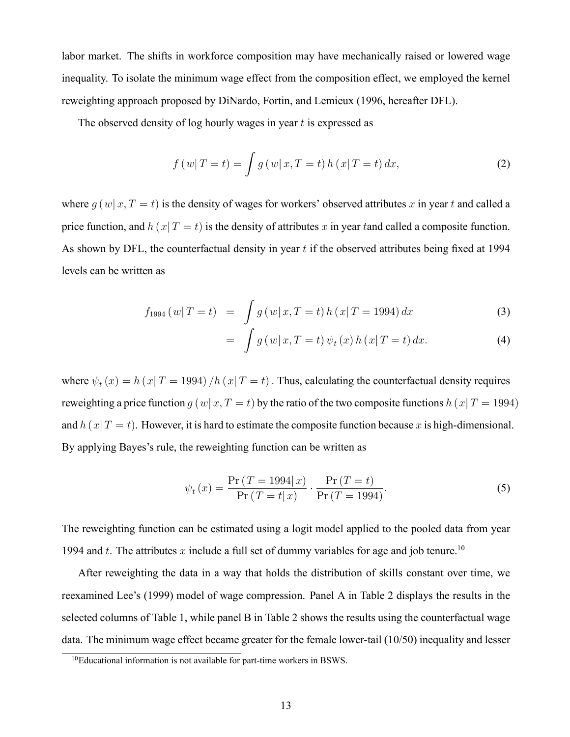labor market. The shifts in workforce composition may have mechanically raised or lowered wage inequality. To isolate the minimum wage effect from the composition effect, we employed the kernel reweighting approach proposed by DiNardo, Fortin, and Lemieux (1996, hereafter DFL).

The observed density of log hourly wages in year  $t$  is expressed as

$$
f(w|T = t) = \int g(w|x, T = t) h(x|T = t) dx,
$$
\n(2)

where  $g(w|x, T = t)$  is the density of wages for workers' observed attributes x in year t and called a price function, and  $h(x|T = t)$  is the density of attributes x in year tand called a composite function. As shown by DFL, the counterfactual density in year  $t$  if the observed attributes being fixed at 1994 levels can be written as

$$
f_{1994} (w|T=t) = \int g(w|x,T=t) h(x|T=1994) dx \qquad (3)
$$

$$
= \int g\left(w|x,T=t\right)\psi_t\left(x\right)h\left(x|T=t\right)dx. \tag{4}
$$

where  $\psi_t(x) = h(x | T = 1994) / h(x | T = t)$ . Thus, calculating the counterfactual density requires reweighting a price function  $q(w|x, T = t)$  by the ratio of the two composite functions  $h(x|T = 1994)$ and  $h(x|T = t)$ . However, it is hard to estimate the composite function because x is high-dimensional. By applying Bayes's rule, the reweighting function can be written as

$$
\psi_t(x) = \frac{\Pr(T = 1994 | x)}{\Pr(T = t | x)} \cdot \frac{\Pr(T = t)}{\Pr(T = 1994)}.
$$
\n(5)

The reweighting function can be estimated using a logit model applied to the pooled data from year 1994 and t. The attributes x include a full set of dummy variables for age and job tenure.<sup>10</sup>

After reweighting the data in a way that holds the distribution of skills constant over time, we reexamined Lee's (1999) model of wage compression. Panel A in Table 2 displays the results in the selected columns of Table 1, while panel B in Table 2 shows the results using the counterfactual wage data. The minimum wage effect became greater for the female lower-tail (10/50) inequality and lesser

<sup>&</sup>lt;sup>10</sup>Educational information is not available for part-time workers in BSWS.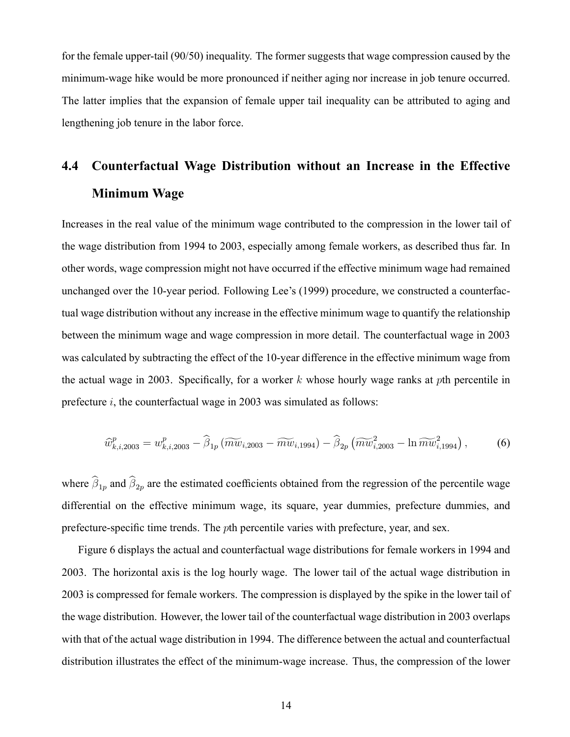for the female upper-tail (90/50) inequality. The former suggests that wage compression caused by the minimum-wage hike would be more pronounced if neither aging nor increase in job tenure occurred. The latter implies that the expansion of female upper tail inequality can be attributed to aging and lengthening job tenure in the labor force.

## 4.4 Counterfactual Wage Distribution without an Increase in the Effective Minimum Wage

Increases in the real value of the minimum wage contributed to the compression in the lower tail of the wage distribution from 1994 to 2003, especially among female workers, as described thus far. In other words, wage compression might not have occurred if the effective minimum wage had remained unchanged over the 10-year period. Following Lee's (1999) procedure, we constructed a counterfactual wage distribution without any increase in the effective minimum wage to quantify the relationship between the minimum wage and wage compression in more detail. The counterfactual wage in 2003 was calculated by subtracting the effect of the 10-year difference in the effective minimum wage from the actual wage in 2003. Specifically, for a worker k whose hourly wage ranks at pth percentile in prefecture  $i$ , the counterfactual wage in 2003 was simulated as follows:

$$
\widehat{w}_{k,i,2003}^p = w_{k,i,2003}^p - \widehat{\beta}_{1p} \left( \widetilde{m w}_{i,2003} - \widetilde{m w}_{i,1994} \right) - \widehat{\beta}_{2p} \left( \widetilde{m w}_{i,2003}^2 - \ln \widetilde{m w}_{i,1994}^2 \right),\tag{6}
$$

where  $\beta_{1p}$  and  $\beta_{2p}$  are the estimated coefficients obtained from the regression of the percentile wage differential on the effective minimum wage, its square, year dummies, prefecture dummies, and prefecture-specific time trends. The *p*th percentile varies with prefecture, year, and sex.

Figure 6 displays the actual and counterfactual wage distributions for female workers in 1994 and 2003. The horizontal axis is the log hourly wage. The lower tail of the actual wage distribution in 2003 is compressed for female workers. The compression is displayed by the spike in the lower tail of the wage distribution. However, the lower tail of the counterfactual wage distribution in 2003 overlaps with that of the actual wage distribution in 1994. The difference between the actual and counterfactual distribution illustrates the effect of the minimum-wage increase. Thus, the compression of the lower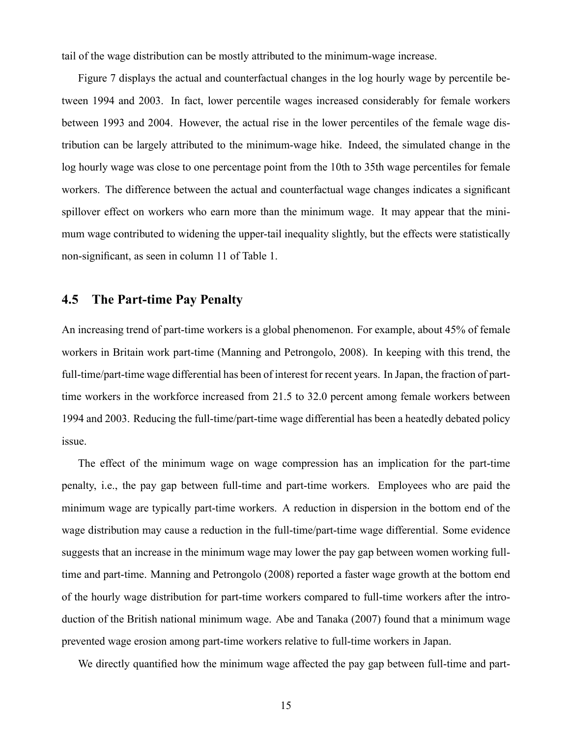tail of the wage distribution can be mostly attributed to the minimum-wage increase.

Figure 7 displays the actual and counterfactual changes in the log hourly wage by percentile between 1994 and 2003. In fact, lower percentile wages increased considerably for female workers between 1993 and 2004. However, the actual rise in the lower percentiles of the female wage distribution can be largely attributed to the minimum-wage hike. Indeed, the simulated change in the log hourly wage was close to one percentage point from the 10th to 35th wage percentiles for female workers. The difference between the actual and counterfactual wage changes indicates a significant spillover effect on workers who earn more than the minimum wage. It may appear that the minimum wage contributed to widening the upper-tail inequality slightly, but the effects were statistically non-significant, as seen in column 11 of Table 1.

#### 4.5 The Part-time Pay Penalty

An increasing trend of part-time workers is a global phenomenon. For example, about 45% of female workers in Britain work part-time (Manning and Petrongolo, 2008). In keeping with this trend, the full-time/part-time wage differential has been of interest for recent years. In Japan, the fraction of parttime workers in the workforce increased from 21.5 to 32.0 percent among female workers between 1994 and 2003. Reducing the full-time/part-time wage differential has been a heatedly debated policy issue.

The effect of the minimum wage on wage compression has an implication for the part-time penalty, i.e., the pay gap between full-time and part-time workers. Employees who are paid the minimum wage are typically part-time workers. A reduction in dispersion in the bottom end of the wage distribution may cause a reduction in the full-time/part-time wage differential. Some evidence suggests that an increase in the minimum wage may lower the pay gap between women working fulltime and part-time. Manning and Petrongolo (2008) reported a faster wage growth at the bottom end of the hourly wage distribution for part-time workers compared to full-time workers after the introduction of the British national minimum wage. Abe and Tanaka (2007) found that a minimum wage prevented wage erosion among part-time workers relative to full-time workers in Japan.

We directly quantified how the minimum wage affected the pay gap between full-time and part-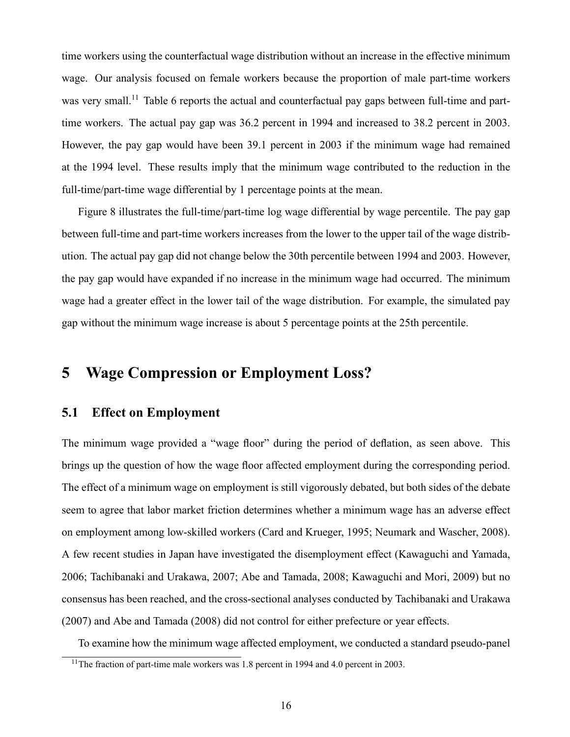time workers using the counterfactual wage distribution without an increase in the effective minimum wage. Our analysis focused on female workers because the proportion of male part-time workers was very small.<sup>11</sup> Table 6 reports the actual and counterfactual pay gaps between full-time and parttime workers. The actual pay gap was 36.2 percent in 1994 and increased to 38.2 percent in 2003. However, the pay gap would have been 39.1 percent in 2003 if the minimum wage had remained at the 1994 level. These results imply that the minimum wage contributed to the reduction in the full-time/part-time wage differential by 1 percentage points at the mean.

Figure 8 illustrates the full-time/part-time log wage differential by wage percentile. The pay gap between full-time and part-time workers increases from the lower to the upper tail of the wage distribution. The actual pay gap did not change below the 30th percentile between 1994 and 2003. However, the pay gap would have expanded if no increase in the minimum wage had occurred. The minimum wage had a greater effect in the lower tail of the wage distribution. For example, the simulated pay gap without the minimum wage increase is about 5 percentage points at the 25th percentile.

## 5 Wage Compression or Employment Loss?

#### 5.1 Effect on Employment

The minimum wage provided a "wage floor" during the period of deflation, as seen above. This brings up the question of how the wage floor affected employment during the corresponding period. The effect of a minimum wage on employment is still vigorously debated, but both sides of the debate seem to agree that labor market friction determines whether a minimum wage has an adverse effect on employment among low-skilled workers (Card and Krueger, 1995; Neumark and Wascher, 2008). A few recent studies in Japan have investigated the disemployment effect (Kawaguchi and Yamada, 2006; Tachibanaki and Urakawa, 2007; Abe and Tamada, 2008; Kawaguchi and Mori, 2009) but no consensus has been reached, and the cross-sectional analyses conducted by Tachibanaki and Urakawa (2007) and Abe and Tamada (2008) did not control for either prefecture or year effects.

To examine how the minimum wage affected employment, we conducted a standard pseudo-panel

<sup>&</sup>lt;sup>11</sup>The fraction of part-time male workers was 1.8 percent in 1994 and 4.0 percent in 2003.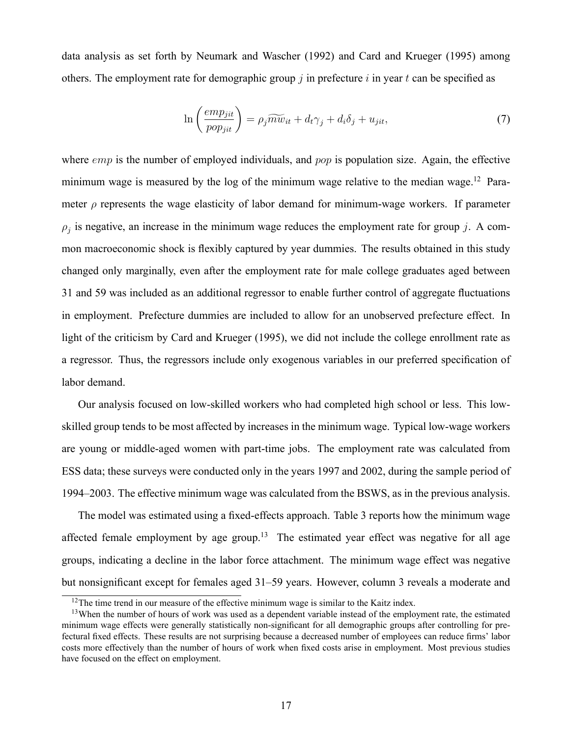data analysis as set forth by Neumark and Wascher (1992) and Card and Krueger (1995) among others. The employment rate for demographic group  $j$  in prefecture  $i$  in year  $t$  can be specified as

$$
\ln\left(\frac{emp_{jit}}{pop_{jit}}\right) = \rho_j \widetilde{mw}_{it} + d_t \gamma_j + d_i \delta_j + u_{jit},\tag{7}
$$

where  $emp$  is the number of employed individuals, and  $pop$  is population size. Again, the effective minimum wage is measured by the log of the minimum wage relative to the median wage.<sup>12</sup> Parameter  $\rho$  represents the wage elasticity of labor demand for minimum-wage workers. If parameter  $\rho_j$  is negative, an increase in the minimum wage reduces the employment rate for group j. A common macroeconomic shock is flexibly captured by year dummies. The results obtained in this study changed only marginally, even after the employment rate for male college graduates aged between 31 and 59 was included as an additional regressor to enable further control of aggregate fluctuations in employment. Prefecture dummies are included to allow for an unobserved prefecture effect. In light of the criticism by Card and Krueger (1995), we did not include the college enrollment rate as a regressor. Thus, the regressors include only exogenous variables in our preferred specification of labor demand.

Our analysis focused on low-skilled workers who had completed high school or less. This lowskilled group tends to be most affected by increases in the minimum wage. Typical low-wage workers are young or middle-aged women with part-time jobs. The employment rate was calculated from ESS data; these surveys were conducted only in the years 1997 and 2002, during the sample period of 1994–2003. The effective minimum wage was calculated from the BSWS, as in the previous analysis.

The model was estimated using a fixed-effects approach. Table 3 reports how the minimum wage affected female employment by age group.<sup>13</sup> The estimated year effect was negative for all age groups, indicating a decline in the labor force attachment. The minimum wage effect was negative but nonsignificant except for females aged 31–59 years. However, column 3 reveals a moderate and

<sup>&</sup>lt;sup>12</sup>The time trend in our measure of the effective minimum wage is similar to the Kaitz index.

 $13$ When the number of hours of work was used as a dependent variable instead of the employment rate, the estimated minimum wage effects were generally statistically non-significant for all demographic groups after controlling for prefectural fixed effects. These results are not surprising because a decreased number of employees can reduce firms' labor costs more effectively than the number of hours of work when fixed costs arise in employment. Most previous studies have focused on the effect on employment.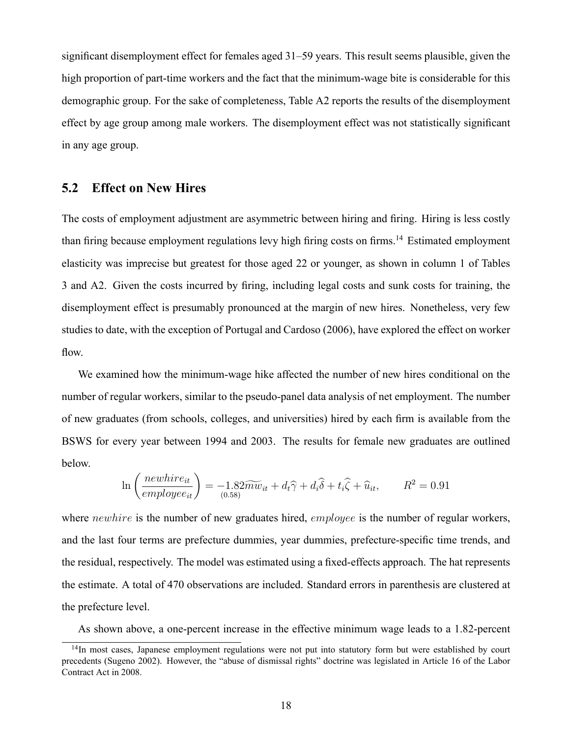significant disemployment effect for females aged 31–59 years. This result seems plausible, given the high proportion of part-time workers and the fact that the minimum-wage bite is considerable for this demographic group. For the sake of completeness, Table A2 reports the results of the disemployment effect by age group among male workers. The disemployment effect was not statistically significant in any age group.

#### 5.2 Effect on New Hires

The costs of employment adjustment are asymmetric between hiring and firing. Hiring is less costly than firing because employment regulations levy high firing costs on firms.<sup>14</sup> Estimated employment elasticity was imprecise but greatest for those aged 22 or younger, as shown in column 1 of Tables 3 and A2. Given the costs incurred by firing, including legal costs and sunk costs for training, the disemployment effect is presumably pronounced at the margin of new hires. Nonetheless, very few studies to date, with the exception of Portugal and Cardoso (2006), have explored the effect on worker flow.

We examined how the minimum-wage hike affected the number of new hires conditional on the number of regular workers, similar to the pseudo-panel data analysis of net employment. The number of new graduates (from schools, colleges, and universities) hired by each firm is available from the BSWS for every year between 1994 and 2003. The results for female new graduates are outlined below.

$$
\ln\left(\frac{newhire_{it}}{employee_{it}}\right) = -1.82\widetilde{mw}_{it} + d_t\widehat{\gamma} + d_i\widehat{\delta} + t_i\widehat{\zeta} + \widehat{u}_{it}, \qquad R^2 = 0.91
$$

where *newhire* is the number of new graduates hired, *employee* is the number of regular workers, and the last four terms are prefecture dummies, year dummies, prefecture-specific time trends, and the residual, respectively. The model was estimated using a fixed-effects approach. The hat represents the estimate. A total of 470 observations are included. Standard errors in parenthesis are clustered at the prefecture level.

As shown above, a one-percent increase in the effective minimum wage leads to a 1.82-percent

<sup>&</sup>lt;sup>14</sup>In most cases, Japanese employment regulations were not put into statutory form but were established by court precedents (Sugeno 2002). However, the "abuse of dismissal rights" doctrine was legislated in Article 16 of the Labor Contract Act in 2008.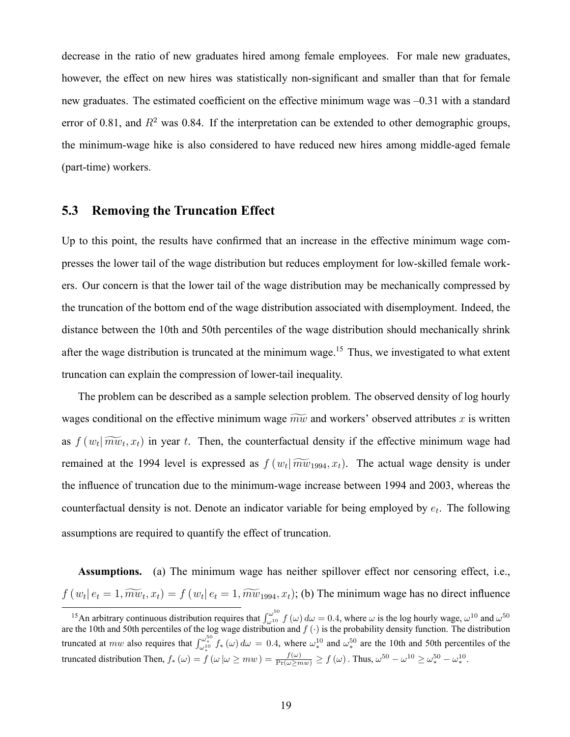decrease in the ratio of new graduates hired among female employees. For male new graduates, however, the effect on new hires was statistically non-significant and smaller than that for female new graduates. The estimated coefficient on the effective minimum wage was -0.31 with a standard error of 0.81, and  $R^2$  was 0.84. If the interpretation can be extended to other demographic groups, the minimum-wage hike is also considered to have reduced new hires among middle-aged female (part-time) workers.

#### 5.3 Removing the Truncation Effect

Up to this point, the results have confirmed that an increase in the effective minimum wage compresses the lower tail of the wage distribution but reduces employment for low-skilled female workers. Our concern is that the lower tail of the wage distribution may be mechanically compressed by the truncation of the bottom end of the wage distribution associated with disemployment. Indeed, the distance between the 10th and 50th percentiles of the wage distribution should mechanically shrink after the wage distribution is truncated at the minimum wage.<sup>15</sup> Thus, we investigated to what extent truncation can explain the compression of lower-tail inequality.

The problem can be described as a sample selection problem. The observed density of log hourly wages conditional on the effective minimum wage  $\widetilde{mw}$  and workers' observed attributes x is written as  $f(w_t | \widetilde{mw}_t, x_t)$  in year t. Then, the counterfactual density if the effective minimum wage had remained at the 1994 level is expressed as  $f(w_t | \widetilde{mw}_{1994}, x_t)$ . The actual wage density is under the influence of truncation due to the minimum-wage increase between 1994 and 2003, whereas the counterfactual density is not. Denote an indicator variable for being employed by  $e_t$ . The following assumptions are required to quantify the effect of truncation.

Assumptions. (a) The minimum wage has neither spillover effect nor censoring effect, i.e.,  $f(w_t | e_t = 1, \widetilde{mw}_t, x_t) = f(w_t | e_t = 1, \widetilde{mw}_{1994}, x_t)$ ; (b) The minimum wage has no direct influence

<sup>&</sup>lt;sup>15</sup>An arbitrary continuous distribution requires that  $\int_{\omega^{10}}^{\omega^{50}} f(\omega) d\omega = 0.4$ , where  $\omega$  is the log hourly wage,  $\omega^{10}$  and  $\omega^{50}$ are the 10th and 50th percentiles of the log wage distribution and  $f(\cdot)$  is the probability density function. The distribution truncated at *mw* also requires that  $\int_{\omega_*^{10}}^{\omega_*^{50}} f_*(\omega) d\omega = 0.4$ , where  $\omega_*^{10}$ truncated distribution Then,  $f_*(\omega) = f(\omega | \omega \ge m w) = \frac{f(\omega)}{\Pr(\omega \ge m w)} \ge f(\omega)$ . Thus,  $\omega^{50} - \omega^{10} \ge \omega_*^{50} - \omega_*^{10}$  $^{10}_{*}$  and  $\omega_{*}^{50}$  $^{50}_{\ast}$  are the 10th and 50th percentiles of the  $\frac{10}{*}$ .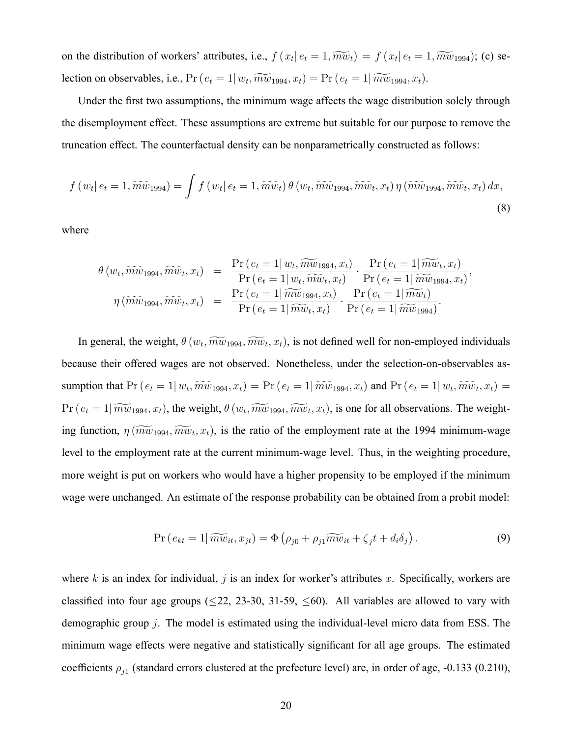on the distribution of workers' attributes, i.e.,  $f(x_t | e_t = 1, \widetilde{mw}_t) = f(x_t | e_t = 1, \widetilde{mw}_{1994})$ ; (c) selection on observables, i.e.,  $Pr(e_t = 1 | w_t, \widetilde{mw}_{1994}, x_t) = Pr(e_t = 1 | \widetilde{mw}_{1994}, x_t)$ .

Under the first two assumptions, the minimum wage affects the wage distribution solely through the disemployment effect. These assumptions are extreme but suitable for our purpose to remove the truncation effect. The counterfactual density can be nonparametrically constructed as follows:

$$
f(w_t|e_t=1,\widetilde{mw}_{1994})=\int f(w_t|e_t=1,\widetilde{mw}_t)\,\theta(w_t,\widetilde{mw}_{1994},\widetilde{mw}_t,x_t)\,\eta(\widetilde{mw}_{1994},\widetilde{mw}_t,x_t)\,dx,
$$
\n(8)

where

$$
\theta(w_t, \widetilde{mw}_{1994}, \widetilde{mw}_{t}, x_t) = \frac{\Pr(e_t = 1 | w_t, \widetilde{mw}_{1994}, x_t)}{\Pr(e_t = 1 | w_t, \widetilde{mw}_{t}, x_t)} \cdot \frac{\Pr(e_t = 1 | \widetilde{mw}_{t}, x_t)}{\Pr(e_t = 1 | \widetilde{mw}_{1994}, x_t)},
$$

$$
\eta(\widetilde{mw}_{1994}, \widetilde{mw}_{t}, x_t) = \frac{\Pr(e_t = 1 | \widetilde{mw}_{1994}, x_t)}{\Pr(e_t = 1 | \widetilde{mw}_{t}, x_t)} \cdot \frac{\Pr(e_t = 1 | \widetilde{mw}_{t})}{\Pr(e_t = 1 | \widetilde{mw}_{1994})}.
$$

In general, the weight,  $\theta(w_t, \widetilde{mw}_{1994}, \widetilde{mw}_t, x_t)$ , is not defined well for non-employed individuals because their offered wages are not observed. Nonetheless, under the selection-on-observables assumption that  $Pr(e_t = 1 | w_t, \widetilde{mw}_{1994}, x_t) = Pr(e_t = 1 | \widetilde{mw}_{1994}, x_t)$  and  $Pr(e_t = 1 | w_t, \widetilde{mw}_t, x_t) =$  $Pr(e_t = 1 | \widetilde{mw}_{1994}, x_t)$ , the weight,  $\theta(w_t, \widetilde{mw}_{1994}, \widetilde{mw}_t, x_t)$ , is one for all observations. The weighting function,  $\eta(\widetilde{mw}_{1994}, \widetilde{mw}_t, x_t)$ , is the ratio of the employment rate at the 1994 minimum-wage level to the employment rate at the current minimum-wage level. Thus, in the weighting procedure, more weight is put on workers who would have a higher propensity to be employed if the minimum wage were unchanged. An estimate of the response probability can be obtained from a probit model:

$$
\Pr\left(e_{kt}=1|\widetilde{mw}_{it},x_{jt}\right)=\Phi\left(\rho_{j0}+\rho_{j1}\widetilde{mw}_{it}+\zeta_jt+d_i\delta_j\right).
$$
\n(9)

where k is an index for individual,  $j$  is an index for worker's attributes  $x$ . Specifically, workers are classified into four age groups ( $\leq$ 22, 23-30, 31-59,  $\leq$ 60). All variables are allowed to vary with demographic group j. The model is estimated using the individual-level micro data from ESS. The minimum wage effects were negative and statistically significant for all age groups. The estimated coefficients  $\rho_{j1}$  (standard errors clustered at the prefecture level) are, in order of age, -0.133 (0.210),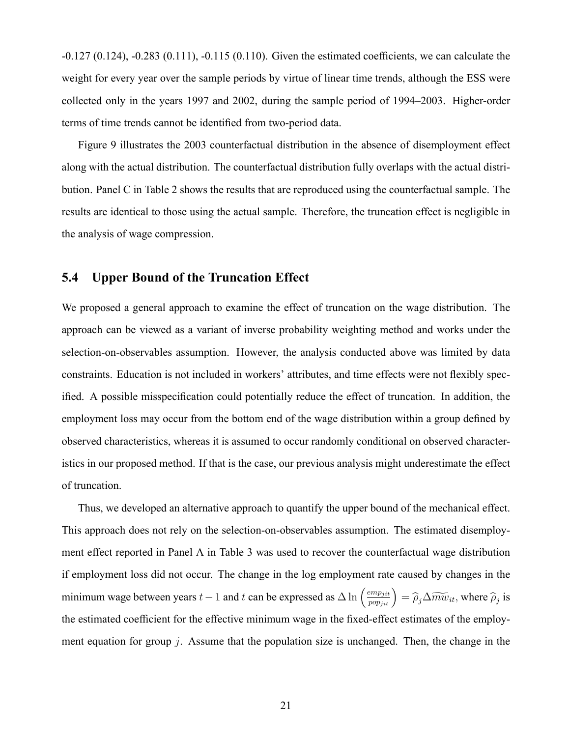$-0.127(0.124)$ ,  $-0.283(0.111)$ ,  $-0.115(0.110)$ . Given the estimated coefficients, we can calculate the weight for every year over the sample periods by virtue of linear time trends, although the ESS were collected only in the years 1997 and 2002, during the sample period of 1994–2003. Higher-order terms of time trends cannot be identified from two-period data.

Figure 9 illustrates the 2003 counterfactual distribution in the absence of disemployment effect along with the actual distribution. The counterfactual distribution fully overlaps with the actual distribution. Panel C in Table 2 shows the results that are reproduced using the counterfactual sample. The results are identical to those using the actual sample. Therefore, the truncation effect is negligible in the analysis of wage compression.

#### 5.4 Upper Bound of the Truncation Effect

We proposed a general approach to examine the effect of truncation on the wage distribution. The approach can be viewed as a variant of inverse probability weighting method and works under the selection-on-observables assumption. However, the analysis conducted above was limited by data constraints. Education is not included in workers' attributes, and time effects were not flexibly specified. A possible misspecification could potentially reduce the effect of truncation. In addition, the employment loss may occur from the bottom end of the wage distribution within a group defined by observed characteristics, whereas it is assumed to occur randomly conditional on observed characteristics in our proposed method. If that is the case, our previous analysis might underestimate the effect of truncation.

Thus, we developed an alternative approach to quantify the upper bound of the mechanical effect. This approach does not rely on the selection-on-observables assumption. The estimated disemployment effect reported in Panel A in Table 3 was used to recover the counterfactual wage distribution if employment loss did not occur. The change in the log employment rate caused by changes in the minimum wage between years  $t-1$  and t can be expressed as  $\Delta \ln \left(\frac{emp_{jit}}{pop_{jit}}\right) = \hat{\rho}_j \Delta \widetilde{mw}_{it}$ , where  $\hat{\rho}_j$  is the estimated coefficient for the effective minimum wage in the fixed-effect estimates of the employment equation for group  $j$ . Assume that the population size is unchanged. Then, the change in the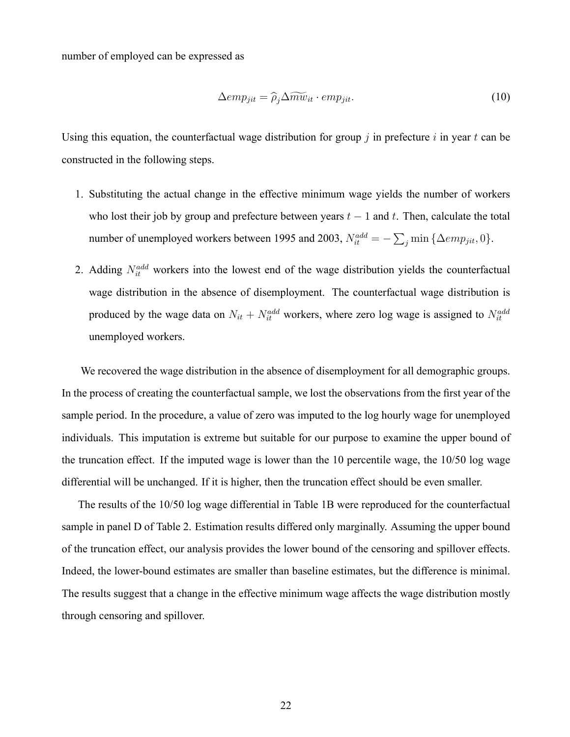number of employed can be expressed as

$$
\Delta emp_{jit} = \hat{\rho}_j \Delta \widetilde{mw}_{it} \cdot emp_{jit}. \tag{10}
$$

Using this equation, the counterfactual wage distribution for group  $j$  in prefecture  $i$  in year  $t$  can be constructed in the following steps.

- 1. Substituting the actual change in the effective minimum wage yields the number of workers who lost their job by group and prefecture between years  $t - 1$  and t. Then, calculate the total number of unemployed workers between 1995 and 2003,  $N_{it}^{add} = -\sum_j \min \{ \Delta emp_{jit}, 0 \}.$
- 2. Adding  $N_{it}^{add}$  workers into the lowest end of the wage distribution yields the counterfactual wage distribution in the absence of disemployment. The counterfactual wage distribution is produced by the wage data on  $N_{it} + N_{it}^{add}$  workers, where zero log wage is assigned to  $N_{it}^{add}$ unemployed workers.

We recovered the wage distribution in the absence of disemployment for all demographic groups. In the process of creating the counterfactual sample, we lost the observations from the first year of the sample period. In the procedure, a value of zero was imputed to the log hourly wage for unemployed individuals. This imputation is extreme but suitable for our purpose to examine the upper bound of the truncation effect. If the imputed wage is lower than the 10 percentile wage, the 10/50 log wage differential will be unchanged. If it is higher, then the truncation effect should be even smaller.

The results of the 10/50 log wage differential in Table 1B were reproduced for the counterfactual sample in panel D of Table 2. Estimation results differed only marginally. Assuming the upper bound of the truncation effect, our analysis provides the lower bound of the censoring and spillover effects. Indeed, the lower-bound estimates are smaller than baseline estimates, but the difference is minimal. The results suggest that a change in the effective minimum wage affects the wage distribution mostly through censoring and spillover.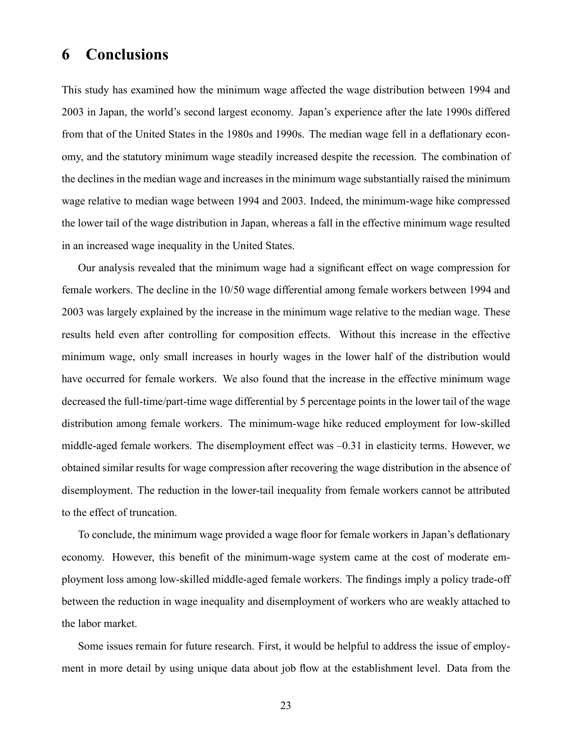## 6 Conclusions

This study has examined how the minimum wage affected the wage distribution between 1994 and 2003 in Japan, the world's second largest economy. Japan's experience after the late 1990s differed from that of the United States in the 1980s and 1990s. The median wage fell in a deflationary economy, and the statutory minimum wage steadily increased despite the recession. The combination of the declines in the median wage and increases in the minimum wage substantially raised the minimum wage relative to median wage between 1994 and 2003. Indeed, the minimum-wage hike compressed the lower tail of the wage distribution in Japan, whereas a fall in the effective minimum wage resulted in an increased wage inequality in the United States.

Our analysis revealed that the minimum wage had a significant effect on wage compression for female workers. The decline in the 10/50 wage differential among female workers between 1994 and 2003 was largely explained by the increase in the minimum wage relative to the median wage. These results held even after controlling for composition effects. Without this increase in the effective minimum wage, only small increases in hourly wages in the lower half of the distribution would have occurred for female workers. We also found that the increase in the effective minimum wage decreased the full-time/part-time wage differential by 5 percentage points in the lower tail of the wage distribution among female workers. The minimum-wage hike reduced employment for low-skilled middle-aged female workers. The disemployment effect was  $-0.31$  in elasticity terms. However, we obtained similar results for wage compression after recovering the wage distribution in the absence of disemployment. The reduction in the lower-tail inequality from female workers cannot be attributed to the effect of truncation.

To conclude, the minimum wage provided a wage floor for female workers in Japan's deflationary economy. However, this benefit of the minimum-wage system came at the cost of moderate employment loss among low-skilled middle-aged female workers. The findings imply a policy trade-off between the reduction in wage inequality and disemployment of workers who are weakly attached to the labor market.

Some issues remain for future research. First, it would be helpful to address the issue of employment in more detail by using unique data about job flow at the establishment level. Data from the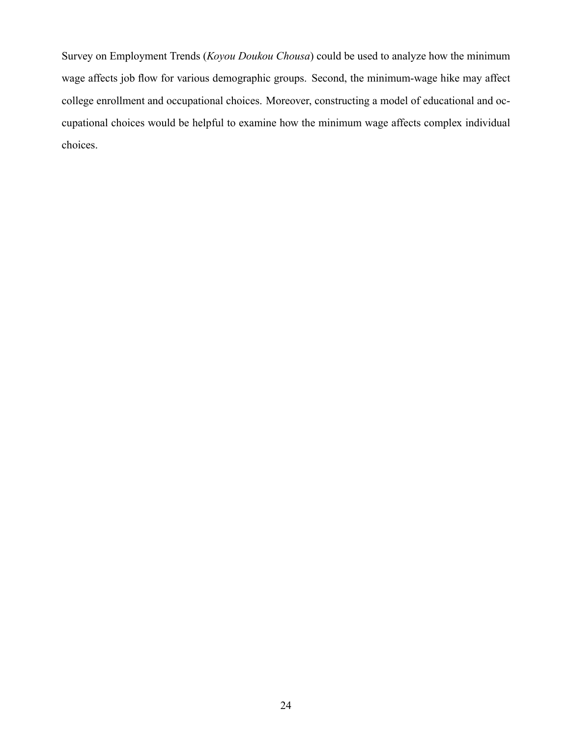Survey on Employment Trends (Koyou Doukou Chousa) could be used to analyze how the minimum wage affects job flow for various demographic groups. Second, the minimum-wage hike may affect college enrollment and occupational choices. Moreover, constructing a model of educational and occupational choices would be helpful to examine how the minimum wage affects complex individual choices.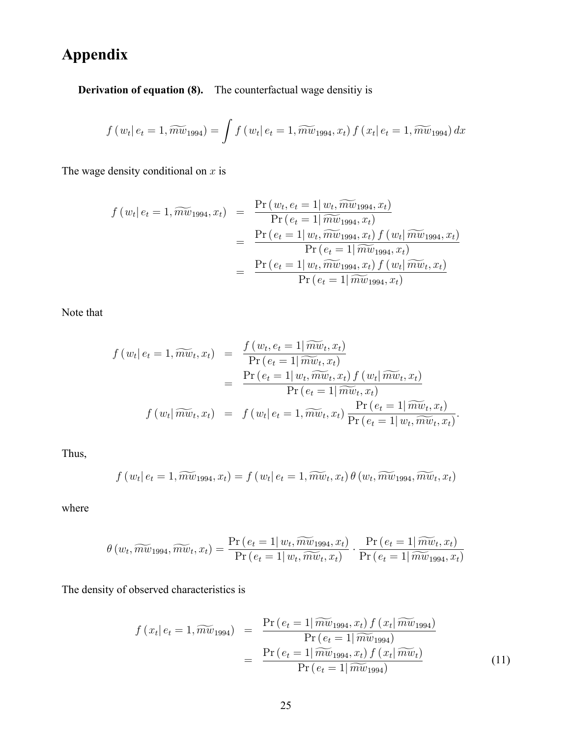## Appendix

Derivation of equation (8). The counterfactual wage densitiy is

$$
f(w_t | e_t = 1, \widetilde{mw}_{1994}) = \int f(w_t | e_t = 1, \widetilde{mw}_{1994}, x_t) f(x_t | e_t = 1, \widetilde{mw}_{1994}) dx
$$

The wage density conditional on  $x$  is

$$
f(w_t|e_t = 1, \widetilde{mw}_{1994}, x_t) = \frac{\Pr(w_t, e_t = 1| w_t, \widetilde{mw}_{1994}, x_t)}{\Pr(e_t = 1| \widetilde{mw}_{1994}, x_t)} = \frac{\Pr(e_t = 1| w_t, \widetilde{mw}_{1994}, x_t) f(w_t| \widetilde{mw}_{1994}, x_t)}{\Pr(e_t = 1| \widetilde{mw}_{1994}, x_t)} = \frac{\Pr(e_t = 1| w_t, \widetilde{mw}_{1994}, x_t) f(w_t| \widetilde{mw}_{t}, x_t)}{\Pr(e_t = 1| \widetilde{mw}_{1994}, x_t)}
$$

Note that

$$
f(w_t|e_t = 1, \widetilde{mw}_t, x_t) = \frac{f(w_t, e_t = 1 | \widetilde{mw}_t, x_t)}{\Pr(e_t = 1 | \widetilde{mw}_t, x_t)}
$$
  

$$
= \frac{\Pr(e_t = 1 | w_t, \widetilde{mw}_t, x_t) f(w_t | \widetilde{mw}_t, x_t)}{\Pr(e_t = 1 | \widetilde{mw}_t, x_t)}
$$
  

$$
f(w_t| \widetilde{mw}_t, x_t) = f(w_t| e_t = 1, \widetilde{mw}_t, x_t) \frac{\Pr(e_t = 1 | \widetilde{mw}_t, x_t)}{\Pr(e_t = 1 | w_t, \widetilde{mw}_t, x_t)}.
$$

Thus,

$$
f(w_t | e_t = 1, \widetilde{mw}_{1994}, x_t) = f(w_t | e_t = 1, \widetilde{mw}_t, x_t) \theta(w_t, \widetilde{mw}_{1994}, \widetilde{mw}_t, x_t)
$$

where

$$
\theta(w_t, \widetilde{mw}_{1994}, \widetilde{mw}_{t}, x_t) = \frac{\Pr(e_t = 1 | w_t, \widetilde{mw}_{1994}, x_t)}{\Pr(e_t = 1 | w_t, \widetilde{mw}_{t}, x_t)} \cdot \frac{\Pr(e_t = 1 | \widetilde{mw}_{t}, x_t)}{\Pr(e_t = 1 | \widetilde{mw}_{1994}, x_t)}
$$

The density of observed characteristics is

$$
f(x_t | e_t = 1, \widetilde{m w}_{1994}) = \frac{\Pr(e_t = 1 | \widetilde{m w}_{1994}, x_t) f(x_t | \widetilde{m w}_{1994})}{\Pr(e_t = 1 | \widetilde{m w}_{1994})}
$$

$$
= \frac{\Pr(e_t = 1 | \widetilde{m w}_{1994}, x_t) f(x_t | \widetilde{m w}_t)}{\Pr(e_t = 1 | \widetilde{m w}_{1994})}
$$
(11)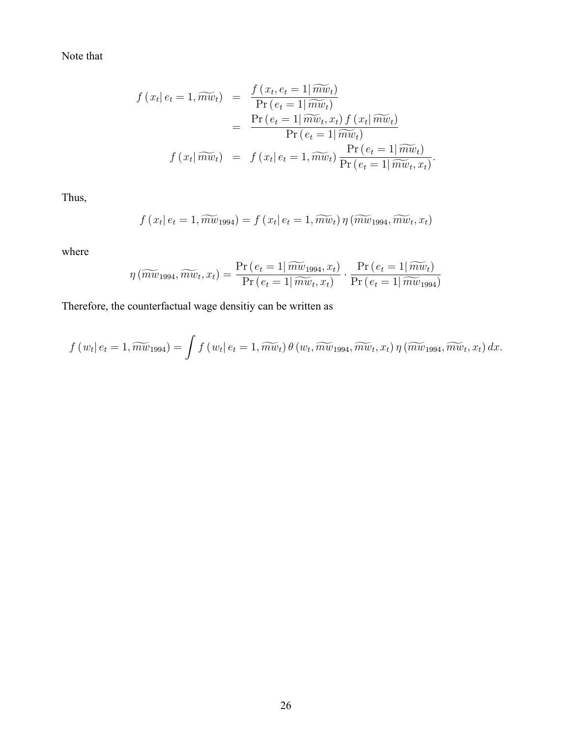Note that

$$
f(x_t|e_t = 1, \widetilde{mw}_t) = \frac{f(x_t, e_t = 1 | \widetilde{mw}_t)}{\Pr(e_t = 1 | \widetilde{mw}_t)}
$$
  
= 
$$
\frac{\Pr(e_t = 1 | \widetilde{mw}_t, x_t) f(x_t | \widetilde{mw}_t)}{\Pr(e_t = 1 | \widetilde{mw}_t)}
$$
  

$$
f(x_t| \widetilde{mw}_t) = f(x_t|e_t = 1, \widetilde{mw}_t) \frac{\Pr(e_t = 1 | \widetilde{mw}_t)}{\Pr(e_t = 1 | \widetilde{mw}_t, x_t)}.
$$

Thus,

$$
f(x_t | e_t = 1, \widetilde{m w}_{1994}) = f(x_t | e_t = 1, \widetilde{m w}_t) \eta(\widetilde{m w}_{1994}, \widetilde{m w}_t, x_t)
$$

where

$$
\eta\left(\widetilde{mw}_{1994}, \widetilde{mw}_{t}, x_{t}\right) = \frac{\Pr\left(e_{t} = 1 | \widetilde{mw}_{1994}, x_{t}\right)}{\Pr\left(e_{t} = 1 | \widetilde{mw}_{t}, x_{t}\right)} \cdot \frac{\Pr\left(e_{t} = 1 | \widetilde{mw}_{t}\right)}{\Pr\left(e_{t} = 1 | \widetilde{mw}_{1994}\right)}
$$

Therefore, the counterfactual wage densitiy can be written as

$$
f(w_t | e_t = 1, \widetilde{mw}_{1994}) = \int f(w_t | e_t = 1, \widetilde{mw}_t) \theta(w_t, \widetilde{mw}_{1994}, \widetilde{mw}_t, x_t) \eta(\widetilde{mw}_{1994}, \widetilde{mw}_t, x_t) dx.
$$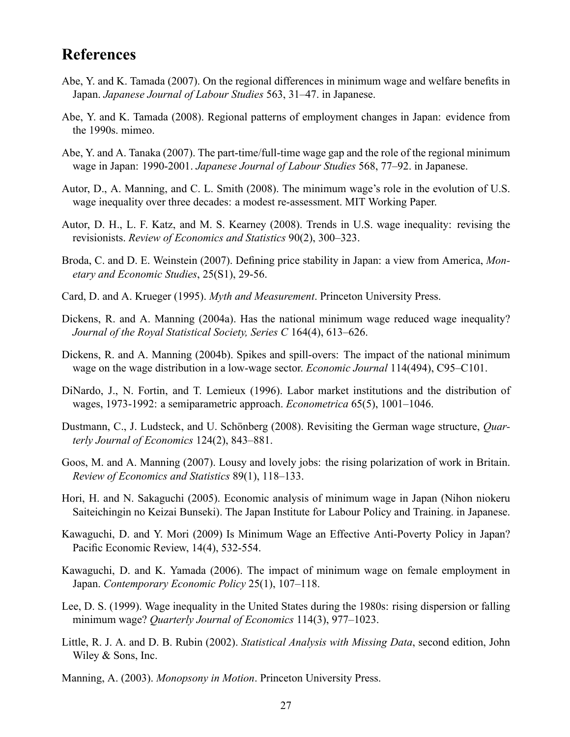## **References**

- Abe, Y. and K. Tamada (2007). On the regional differences in minimum wage and welfare benefits in Japan. Japanese Journal of Labour Studies 563, 31–47. in Japanese.
- Abe, Y. and K. Tamada (2008). Regional patterns of employment changes in Japan: evidence from the 1990s. mimeo.
- Abe, Y. and A. Tanaka (2007). The part-time/full-time wage gap and the role of the regional minimum wage in Japan: 1990-2001. Japanese Journal of Labour Studies 568, 77-92. in Japanese.
- Autor, D., A. Manning, and C. L. Smith (2008). The minimum wage's role in the evolution of U.S. wage inequality over three decades: a modest re-assessment. MIT Working Paper.
- Autor, D. H., L. F. Katz, and M. S. Kearney (2008). Trends in U.S. wage inequality: revising the revisionists. Review of Economics and Statistics 90(2), 300–323.
- Broda, C. and D. E. Weinstein (2007). Defining price stability in Japan: a view from America, Monetary and Economic Studies, 25(S1), 29-56.
- Card, D. and A. Krueger (1995). Myth and Measurement. Princeton University Press.
- Dickens, R. and A. Manning (2004a). Has the national minimum wage reduced wage inequality? Journal of the Royal Statistical Society, Series C  $164(4)$ , 613-626.
- Dickens, R. and A. Manning (2004b). Spikes and spill-overs: The impact of the national minimum wage on the wage distribution in a low-wage sector. *Economic Journal* 114(494), C95–C101.
- DiNardo, J., N. Fortin, and T. Lemieux (1996). Labor market institutions and the distribution of wages, 1973-1992: a semiparametric approach. *Econometrica* 65(5), 1001-1046.
- Dustmann, C., J. Ludsteck, and U. Schönberg (2008). Revisiting the German wage structure, *Quar*terly Journal of Economics  $124(2)$ ,  $843-881$ .
- Goos, M. and A. Manning (2007). Lousy and lovely jobs: the rising polarization of work in Britain. Review of Economics and Statistics 89(1), 118-133.
- Hori, H. and N. Sakaguchi (2005). Economic analysis of minimum wage in Japan (Nihon niokeru Saiteichingin no Keizai Bunseki). The Japan Institute for Labour Policy and Training. in Japanese.
- Kawaguchi, D. and Y. Mori (2009) Is Minimum Wage an Effective Anti-Poverty Policy in Japan? Pacific Economic Review, 14(4), 532-554.
- Kawaguchi, D. and K. Yamada (2006). The impact of minimum wage on female employment in Japan. Contemporary Economic Policy 25(1), 107-118.
- Lee, D. S. (1999). Wage inequality in the United States during the 1980s: rising dispersion or falling minimum wage? Quarterly Journal of Economics 114(3), 977-1023.
- Little, R. J. A. and D. B. Rubin (2002). Statistical Analysis with Missing Data, second edition, John Wiley & Sons, Inc.
- Manning, A. (2003). Monopsony in Motion. Princeton University Press.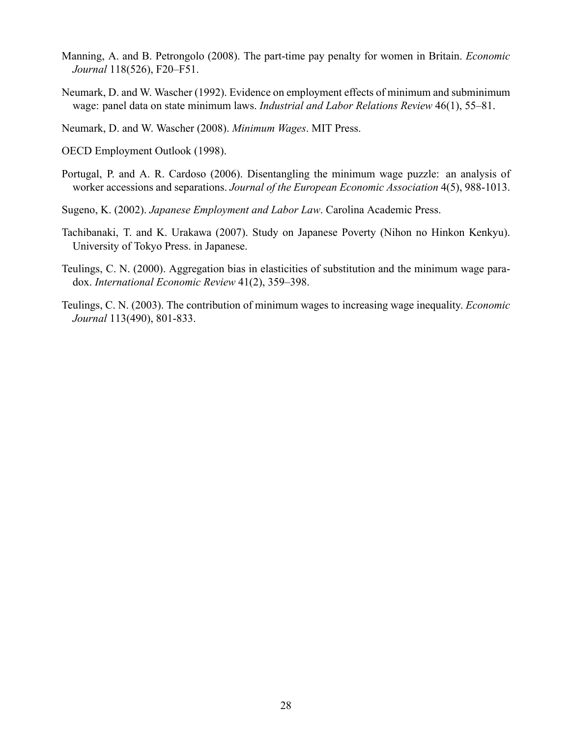- Manning, A. and B. Petrongolo (2008). The part-time pay penalty for women in Britain. Economic Journal 118(526), F20–F51.
- Neumark, D. and W. Wascher (1992). Evidence on employment effects of minimum and subminimum wage: panel data on state minimum laws. *Industrial and Labor Relations Review*  $46(1)$ ,  $55-81$ .

Neumark, D. and W. Wascher (2008). Minimum Wages. MIT Press.

OECD Employment Outlook (1998).

- Portugal, P. and A. R. Cardoso (2006). Disentangling the minimum wage puzzle: an analysis of worker accessions and separations. Journal of the European Economic Association 4(5), 988-1013.
- Sugeno, K. (2002). Japanese Employment and Labor Law. Carolina Academic Press.
- Tachibanaki, T. and K. Urakawa (2007). Study on Japanese Poverty (Nihon no Hinkon Kenkyu). University of Tokyo Press. in Japanese.
- Teulings, C. N. (2000). Aggregation bias in elasticities of substitution and the minimum wage paradox. International Economic Review  $41(2)$ , 359-398.
- Teulings, C. N. (2003). The contribution of minimum wages to increasing wage inequality. Economic Journal 113(490), 801-833.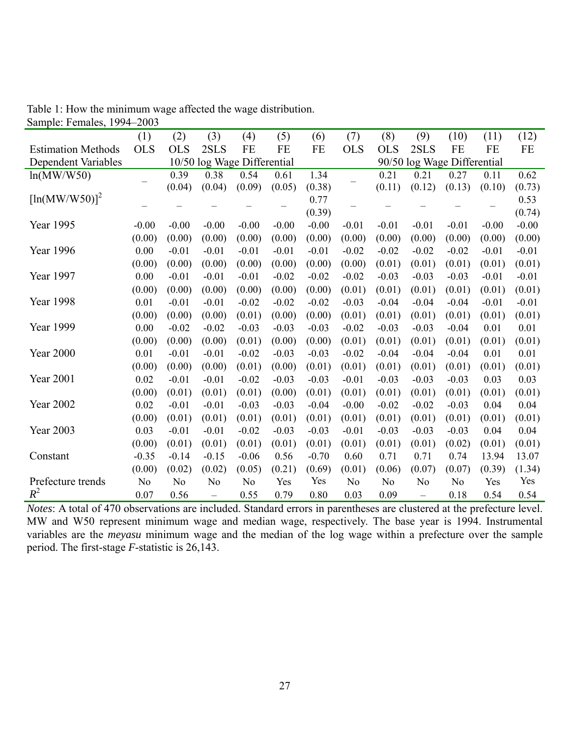|                            | (1)            | (2)            | (3)                         | (4)            | (5)     | (6)                         | (7)            | (8)            | (9)               | (10)           | (11)    | (12)    |  |
|----------------------------|----------------|----------------|-----------------------------|----------------|---------|-----------------------------|----------------|----------------|-------------------|----------------|---------|---------|--|
| <b>Estimation Methods</b>  | <b>OLS</b>     | <b>OLS</b>     | 2SLS                        | FE             | FE      | FE                          | <b>OLS</b>     | <b>OLS</b>     | 2SLS              | FE             | FE      | FE      |  |
| <b>Dependent Variables</b> |                |                | 10/50 log Wage Differential |                |         | 90/50 log Wage Differential |                |                |                   |                |         |         |  |
| ln(MW/W50)                 |                | 0.39           | 0.38                        | 0.54           | 0.61    | 1.34                        |                | 0.21           | 0.21              | 0.27           | 0.11    | 0.62    |  |
|                            |                | (0.04)         | (0.04)                      | (0.09)         | (0.05)  | (0.38)                      |                | (0.11)         | (0.12)            | (0.13)         | (0.10)  | (0.73)  |  |
| $[\ln(MW/W50)]^2$          |                |                |                             |                |         | 0.77                        |                |                |                   |                |         | 0.53    |  |
|                            |                |                |                             |                |         | (0.39)                      |                |                |                   |                |         | (0.74)  |  |
| Year 1995                  | $-0.00$        | $-0.00$        | $-0.00$                     | $-0.00$        | $-0.00$ | $-0.00$                     | $-0.01$        | $-0.01$        | $-0.01$           | $-0.01$        | $-0.00$ | $-0.00$ |  |
|                            | (0.00)         | (0.00)         | (0.00)                      | (0.00)         | (0.00)  | (0.00)                      | (0.00)         | (0.00)         | (0.00)            | (0.00)         | (0.00)  | (0.00)  |  |
| Year 1996                  | 0.00           | $-0.01$        | $-0.01$                     | $-0.01$        | $-0.01$ | $-0.01$                     | $-0.02$        | $-0.02$        | $-0.02$           | $-0.02$        | $-0.01$ | $-0.01$ |  |
|                            | (0.00)         | (0.00)         | (0.00)                      | (0.00)         | (0.00)  | (0.00)                      | (0.00)         | (0.01)         | (0.01)            | (0.01)         | (0.01)  | (0.01)  |  |
| Year 1997                  | 0.00           | $-0.01$        | $-0.01$                     | $-0.01$        | $-0.02$ | $-0.02$                     | $-0.02$        | $-0.03$        | $-0.03$           | $-0.03$        | $-0.01$ | $-0.01$ |  |
|                            | (0.00)         | (0.00)         | (0.00)                      | (0.00)         | (0.00)  | (0.00)                      | (0.01)         | (0.01)         | (0.01)            | (0.01)         | (0.01)  | (0.01)  |  |
| Year 1998                  | 0.01           | $-0.01$        | $-0.01$                     | $-0.02$        | $-0.02$ | $-0.02$                     | $-0.03$        | $-0.04$        | $-0.04$           | $-0.04$        | $-0.01$ | $-0.01$ |  |
|                            | (0.00)         | (0.00)         | (0.00)                      | (0.01)         | (0.00)  | (0.00)                      | (0.01)         | (0.01)         | (0.01)            | (0.01)         | (0.01)  | (0.01)  |  |
| <b>Year 1999</b>           | 0.00           | $-0.02$        | $-0.02$                     | $-0.03$        | $-0.03$ | $-0.03$                     | $-0.02$        | $-0.03$        | $-0.03$           | $-0.04$        | 0.01    | 0.01    |  |
|                            | (0.00)         | (0.00)         | (0.00)                      | (0.01)         | (0.00)  | (0.00)                      | (0.01)         | (0.01)         | (0.01)            | (0.01)         | (0.01)  | (0.01)  |  |
| <b>Year 2000</b>           | 0.01           | $-0.01$        | $-0.01$                     | $-0.02$        | $-0.03$ | $-0.03$                     | $-0.02$        | $-0.04$        | $-0.04$           | $-0.04$        | 0.01    | 0.01    |  |
|                            | (0.00)         | (0.00)         | (0.00)                      | (0.01)         | (0.00)  | (0.01)                      | (0.01)         | (0.01)         | (0.01)            | (0.01)         | (0.01)  | (0.01)  |  |
| <b>Year 2001</b>           | 0.02           | $-0.01$        | $-0.01$                     | $-0.02$        | $-0.03$ | $-0.03$                     | $-0.01$        | $-0.03$        | $-0.03$           | $-0.03$        | 0.03    | 0.03    |  |
|                            | (0.00)         | (0.01)         | (0.01)                      | (0.01)         | (0.00)  | (0.01)                      | (0.01)         | (0.01)         | (0.01)            | (0.01)         | (0.01)  | (0.01)  |  |
| <b>Year 2002</b>           | 0.02           | $-0.01$        | $-0.01$                     | $-0.03$        | $-0.03$ | $-0.04$                     | $-0.00$        | $-0.02$        | $-0.02$           | $-0.03$        | 0.04    | 0.04    |  |
|                            | (0.00)         | (0.01)         | (0.01)                      | (0.01)         | (0.01)  | (0.01)                      | (0.01)         | (0.01)         | (0.01)            | (0.01)         | (0.01)  | (0.01)  |  |
| <b>Year 2003</b>           | 0.03           | $-0.01$        | $-0.01$                     | $-0.02$        | $-0.03$ | $-0.03$                     | $-0.01$        | $-0.03$        | $-0.03$           | $-0.03$        | 0.04    | 0.04    |  |
|                            | (0.00)         | (0.01)         | (0.01)                      | (0.01)         | (0.01)  | (0.01)                      | (0.01)         | (0.01)         | (0.01)            | (0.02)         | (0.01)  | (0.01)  |  |
| Constant                   | $-0.35$        | $-0.14$        | $-0.15$                     | $-0.06$        | 0.56    | $-0.70$                     | 0.60           | 0.71           | 0.71              | 0.74           | 13.94   | 13.07   |  |
|                            | (0.00)         | (0.02)         | (0.02)                      | (0.05)         | (0.21)  | (0.69)                      | (0.01)         | (0.06)         | (0.07)            | (0.07)         | (0.39)  | (1.34)  |  |
| Prefecture trends          | N <sub>0</sub> | N <sub>0</sub> | N <sub>o</sub>              | N <sub>0</sub> | Yes     | Yes                         | N <sub>0</sub> | N <sub>o</sub> | N <sub>0</sub>    | N <sub>0</sub> | Yes     | Yes     |  |
| $R^2$                      | 0.07           | 0.56           | $\overline{\phantom{0}}$    | 0.55           | 0.79    | 0.80                        | 0.03           | 0.09           | $\qquad \qquad -$ | 0.18           | 0.54    | 0.54    |  |

Table 1: How the minimum wage affected the wage distribution. Sample: Females, 1994–2003

*Notes*: A total of 470 observations are included. Standard errors in parentheses are clustered at the prefecture level. MW and W50 represent minimum wage and median wage, respectively. The base year is 1994. Instrumental variables are the *meyasu* minimum wage and the median of the log wage within a prefecture over the sample period. The first-stage *F*-statistic is 26,143.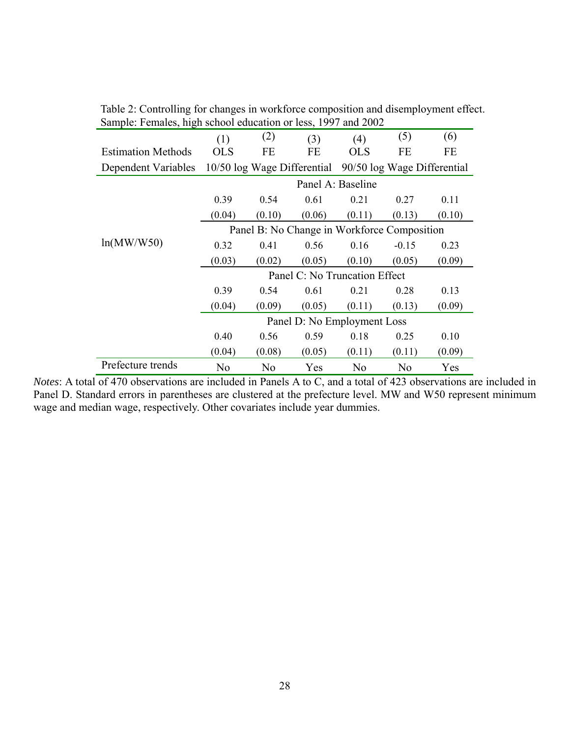| $\alpha$ $\beta$ , $\beta$ , $\alpha$ $\beta$ , $\alpha$ , $\beta$ , $\beta$ , $\beta$ , $\beta$ , $\beta$ , $\alpha$ , $\beta$ , $\alpha$ , $\beta$ , $\alpha$ , $\beta$ , $\alpha$ , $\beta$ , $\alpha$ , $\beta$ , $\alpha$ , $\beta$ , $\alpha$ , $\beta$ , $\alpha$ , $\beta$ , $\alpha$ , $\beta$ , $\alpha$ , $\alpha$ , $\beta$ , $\alpha$ , $\alpha$ , $\beta$ , $\alpha$ , $\alpha$ , |                                             |                |                                                         |                |                |        |  |  |  |  |
|-------------------------------------------------------------------------------------------------------------------------------------------------------------------------------------------------------------------------------------------------------------------------------------------------------------------------------------------------------------------------------------------------|---------------------------------------------|----------------|---------------------------------------------------------|----------------|----------------|--------|--|--|--|--|
|                                                                                                                                                                                                                                                                                                                                                                                                 | (1)                                         | (2)            | (3)                                                     | (4)            | (5)            | (6)    |  |  |  |  |
| <b>Estimation Methods</b>                                                                                                                                                                                                                                                                                                                                                                       | <b>OLS</b>                                  | FE             | <b>FE</b>                                               | <b>OLS</b>     | FE             | FE     |  |  |  |  |
| Dependent Variables                                                                                                                                                                                                                                                                                                                                                                             |                                             |                | 10/50 log Wage Differential 90/50 log Wage Differential |                |                |        |  |  |  |  |
|                                                                                                                                                                                                                                                                                                                                                                                                 | Panel A: Baseline                           |                |                                                         |                |                |        |  |  |  |  |
|                                                                                                                                                                                                                                                                                                                                                                                                 | 0.39                                        | 0.54           | 0.61                                                    | 0.21           | 0.27           | 0.11   |  |  |  |  |
|                                                                                                                                                                                                                                                                                                                                                                                                 | (0.04)                                      | (0.10)         | (0.06)                                                  | (0.11)         | (0.13)         | (0.10) |  |  |  |  |
|                                                                                                                                                                                                                                                                                                                                                                                                 | Panel B: No Change in Workforce Composition |                |                                                         |                |                |        |  |  |  |  |
| ln(MW/W50)                                                                                                                                                                                                                                                                                                                                                                                      | 0.32                                        | 0.41           | 0.56                                                    | 0.16           | $-0.15$        | 0.23   |  |  |  |  |
|                                                                                                                                                                                                                                                                                                                                                                                                 | (0.03)                                      | (0.02)         | (0.05)                                                  | (0.10)         | (0.05)         | (0.09) |  |  |  |  |
|                                                                                                                                                                                                                                                                                                                                                                                                 | Panel C: No Truncation Effect               |                |                                                         |                |                |        |  |  |  |  |
|                                                                                                                                                                                                                                                                                                                                                                                                 | 0.39                                        | 0.54           | 0.61                                                    | 0.21           | 0.28           | 0.13   |  |  |  |  |
|                                                                                                                                                                                                                                                                                                                                                                                                 | (0.04)                                      | (0.09)         | (0.05)                                                  | (0.11)         | (0.13)         | (0.09) |  |  |  |  |
|                                                                                                                                                                                                                                                                                                                                                                                                 | Panel D: No Employment Loss                 |                |                                                         |                |                |        |  |  |  |  |
|                                                                                                                                                                                                                                                                                                                                                                                                 | 0.40                                        | 0.56           | 0.59                                                    | 0.18           | 0.25           | 0.10   |  |  |  |  |
|                                                                                                                                                                                                                                                                                                                                                                                                 | (0.04)                                      | (0.08)         | (0.05)                                                  | (0.11)         | (0.11)         | (0.09) |  |  |  |  |
| Prefecture trends                                                                                                                                                                                                                                                                                                                                                                               | N <sub>0</sub>                              | N <sub>0</sub> | Yes                                                     | N <sub>0</sub> | N <sub>0</sub> | Yes    |  |  |  |  |

Table 2: Controlling for changes in workforce composition and disemployment effect. Sample: Females, high school education or less, 1997 and 2002

*Notes*: A total of 470 observations are included in Panels A to C, and a total of 423 observations are included in Panel D. Standard errors in parentheses are clustered at the prefecture level. MW and W50 represent minimum wage and median wage, respectively. Other covariates include year dummies.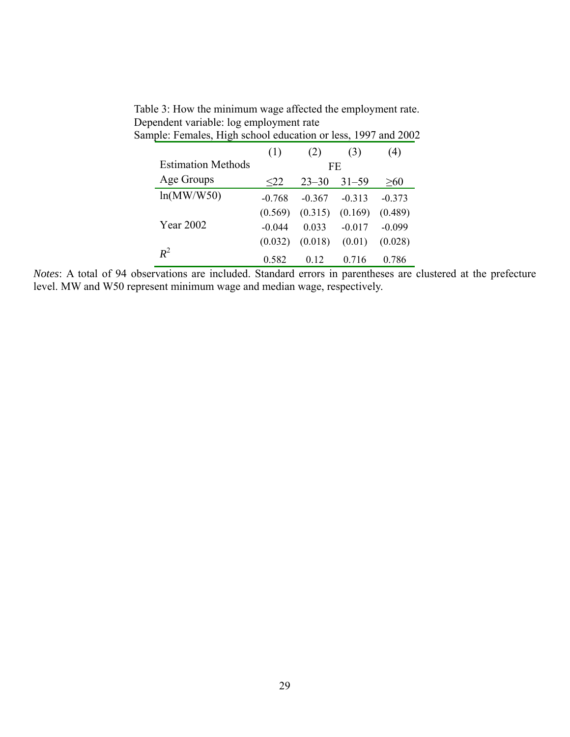| Sample: Females, High school education or less, 1997 and 2002 |          |           |           |           |  |  |  |  |  |
|---------------------------------------------------------------|----------|-----------|-----------|-----------|--|--|--|--|--|
|                                                               | (1)      | (2)       | (3)       | (4)       |  |  |  |  |  |
| <b>Estimation Methods</b>                                     |          |           | FE.       |           |  |  |  |  |  |
| Age Groups                                                    | $22$     | $23 - 30$ | $31 - 59$ | $\geq 60$ |  |  |  |  |  |
| ln(MW/W50)                                                    | $-0.768$ | $-0.367$  | $-0.313$  | $-0.373$  |  |  |  |  |  |
|                                                               | (0.569)  | (0.315)   | (0.169)   | (0.489)   |  |  |  |  |  |
| Year 2002                                                     | $-0.044$ | 0.033     | $-0.017$  | $-0.099$  |  |  |  |  |  |
|                                                               | (0.032)  | (0.018)   | (0.01)    | (0.028)   |  |  |  |  |  |
| $R^2$                                                         | 0.582    | 0.12      | 0.716     | 0.786     |  |  |  |  |  |

Table 3: How the minimum wage affected the employment rate. Dependent variable: log employment rate

*Notes*: A total of 94 observations are included. Standard errors in parentheses are clustered at the prefecture level. MW and W50 represent minimum wage and median wage, respectively.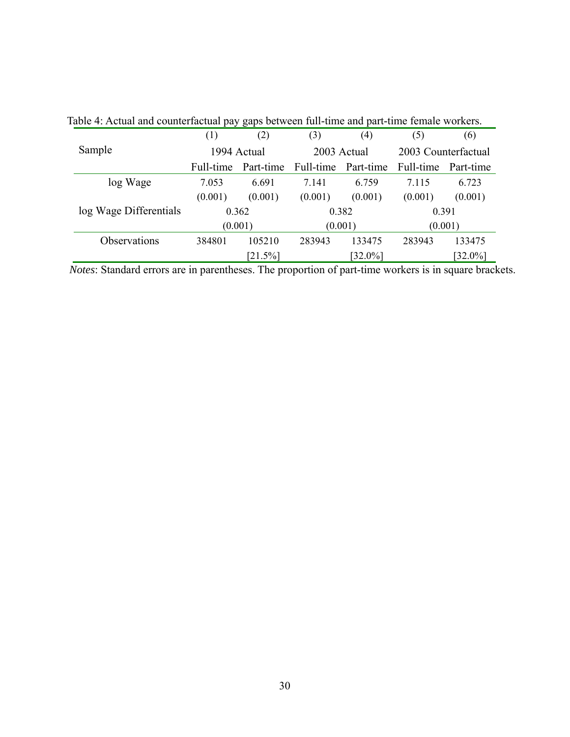|                        | (1)       | (2)         | (3)         | (4)                 | (5)                 | (6)        |  |
|------------------------|-----------|-------------|-------------|---------------------|---------------------|------------|--|
| Sample                 |           | 1994 Actual | 2003 Actual |                     | 2003 Counterfactual |            |  |
|                        | Full-time | Part-time   |             | Full-time Part-time | Full-time Part-time |            |  |
| log Wage               | 7.053     | 6.691       | 7.141       | 6.759               | 7.115               | 6.723      |  |
|                        | (0.001)   | (0.001)     | (0.001)     | (0.001)             | (0.001)             | (0.001)    |  |
| log Wage Differentials |           | 0.362       | 0.382       |                     | 0.391               |            |  |
|                        | (0.001)   |             |             | (0.001)             | (0.001)             |            |  |
| Observations           | 384801    | 105210      | 283943      | 133475              | 283943              | 133475     |  |
|                        |           | $[21.5\%]$  |             | $[32.0\%]$          |                     | $[32.0\%]$ |  |

Table 4: Actual and counterfactual pay gaps between full-time and part-time female workers.

*Notes*: Standard errors are in parentheses. The proportion of part-time workers is in square brackets.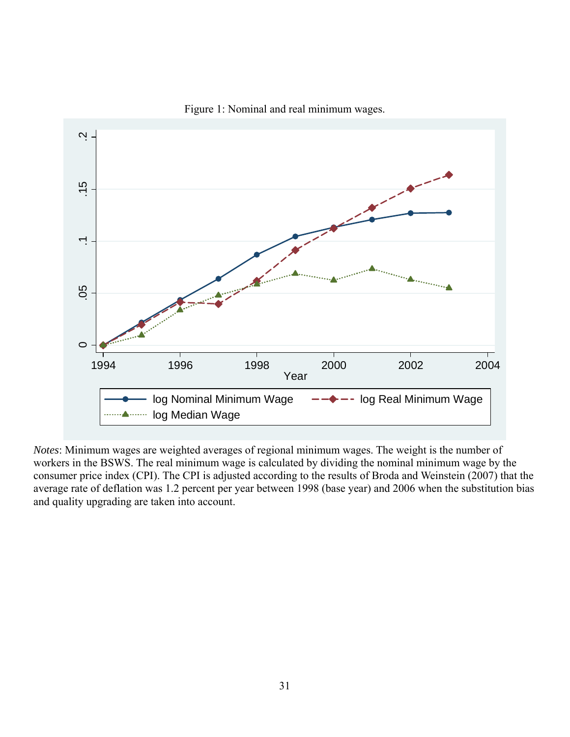

Figure 1: Nominal and real minimum wages.

*Notes*: Minimum wages are weighted averages of regional minimum wages. The weight is the number of workers in the BSWS. The real minimum wage is calculated by dividing the nominal minimum wage by the consumer price index (CPI). The CPI is adjusted according to the results of Broda and Weinstein (2007) that the average rate of deflation was 1.2 percent per year between 1998 (base year) and 2006 when the substitution bias and quality upgrading are taken into account.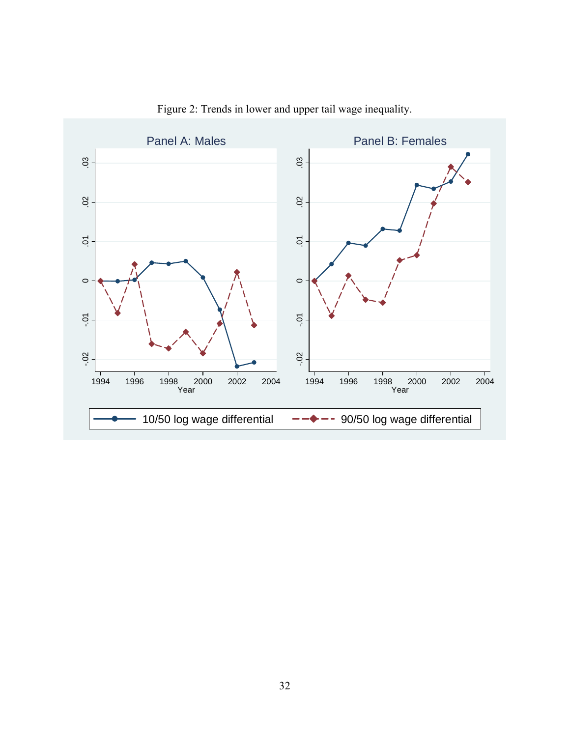![](_page_35_Figure_0.jpeg)

Figure 2: Trends in lower and upper tail wage inequality.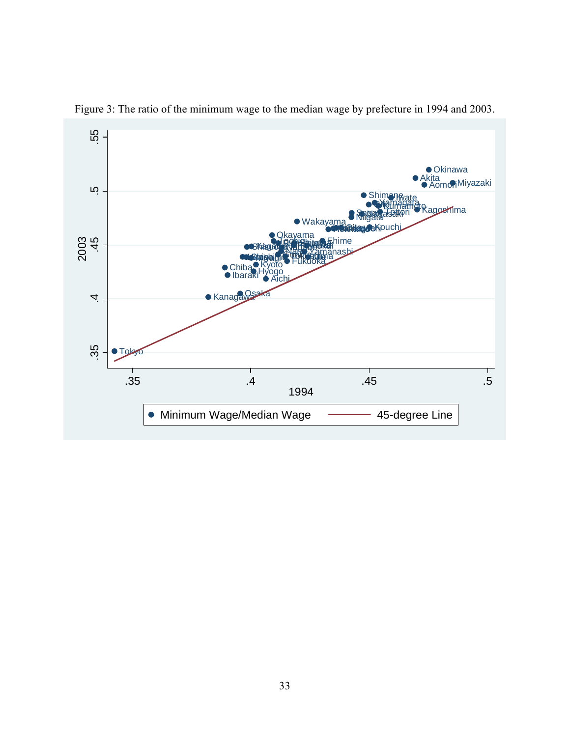![](_page_36_Figure_0.jpeg)

Figure 3: The ratio of the minimum wage to the median wage by prefecture in 1994 and 2003.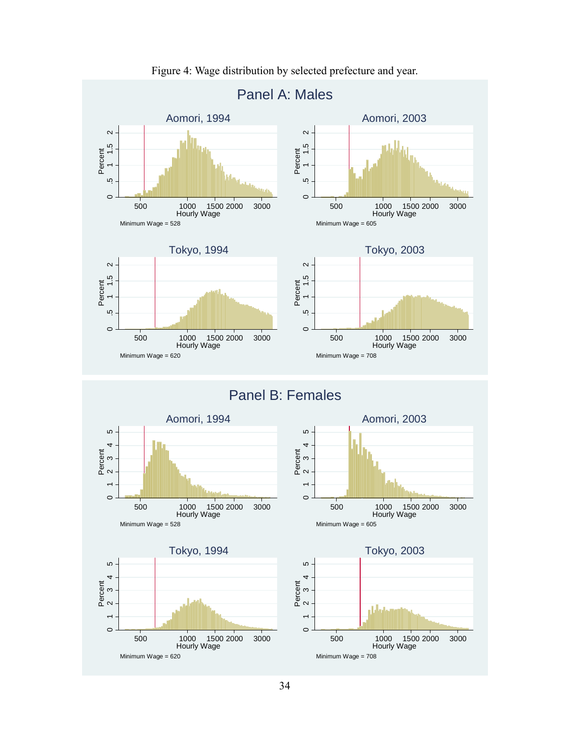![](_page_37_Figure_0.jpeg)

Figure 4: Wage distribution by selected prefecture and year.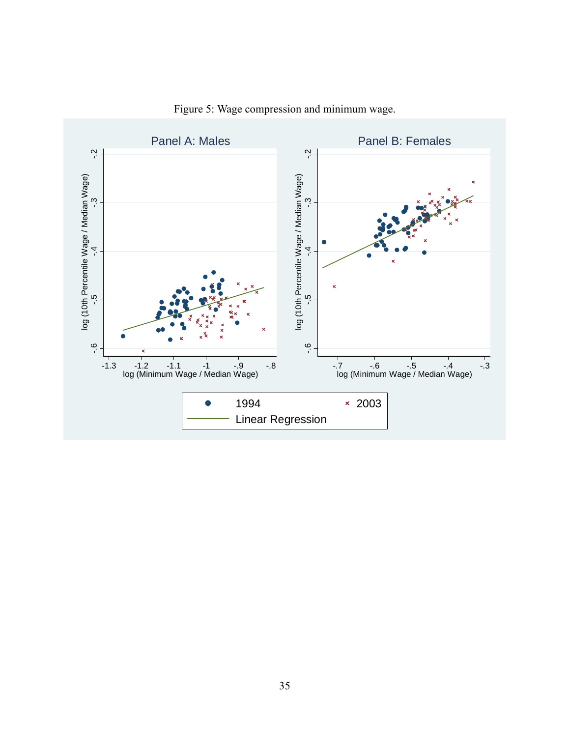![](_page_38_Figure_0.jpeg)

Figure 5: Wage compression and minimum wage.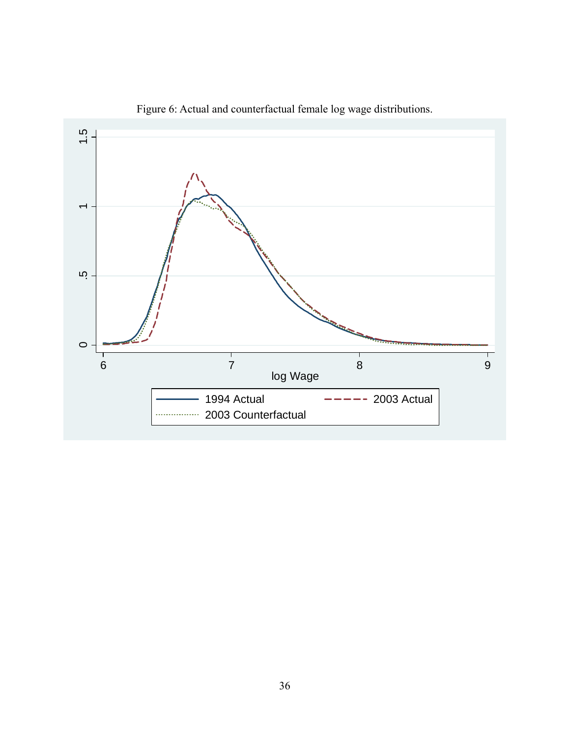![](_page_39_Figure_0.jpeg)

Figure 6: Actual and counterfactual female log wage distributions.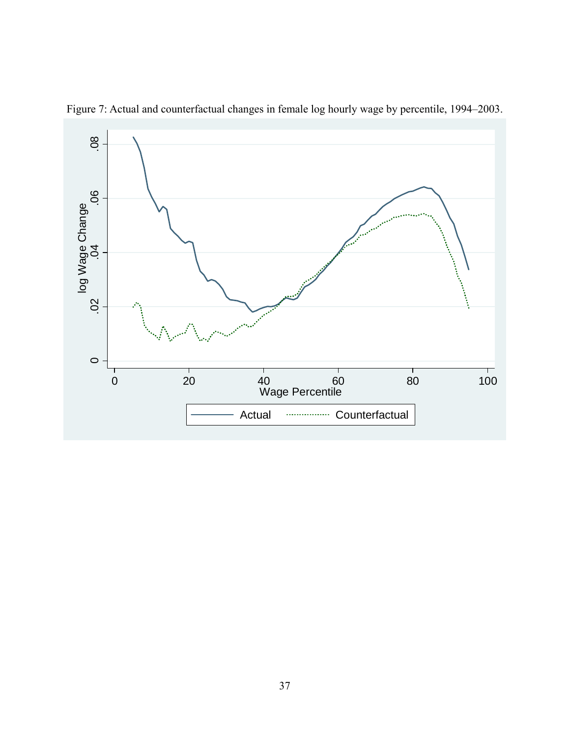![](_page_40_Figure_0.jpeg)

Figure 7: Actual and counterfactual changes in female log hourly wage by percentile, 1994–2003.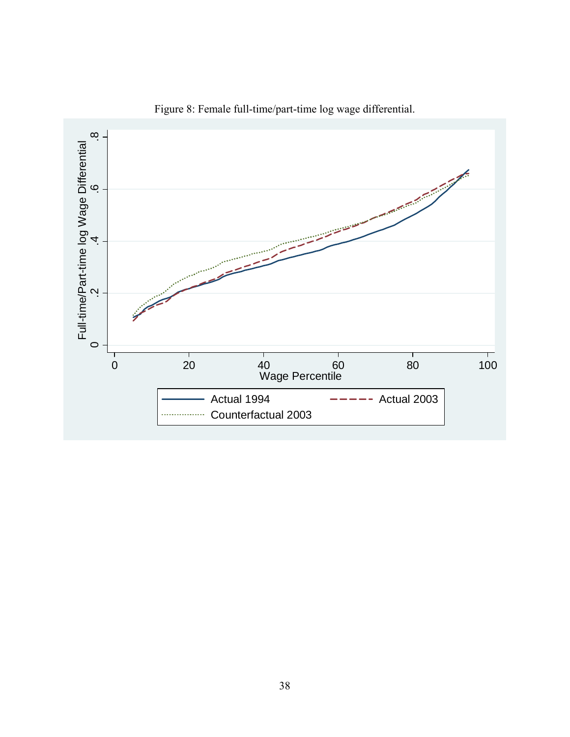![](_page_41_Figure_0.jpeg)

Figure 8: Female full-time/part-time log wage differential.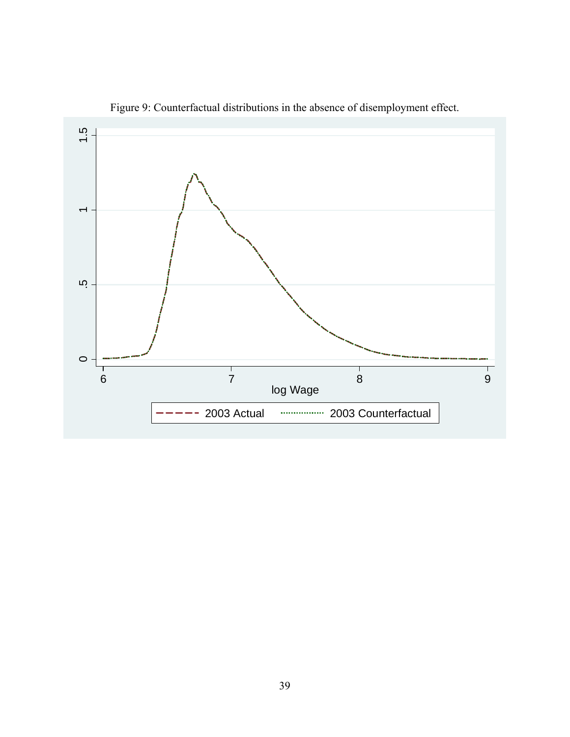![](_page_42_Figure_0.jpeg)

Figure 9: Counterfactual distributions in the absence of disemployment effect.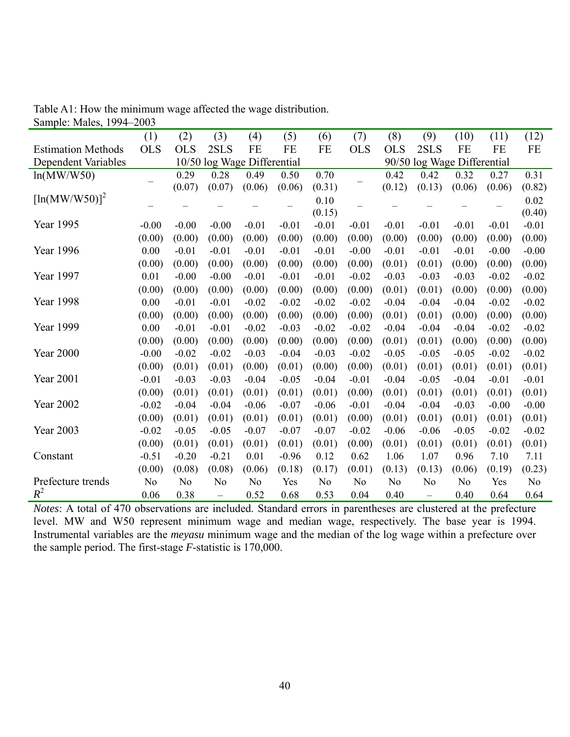| $_{\rm{outupiv.} \, mass,}$<br>$1/7$ $1$ | $-000$         |                |                             |                |         |                |                             |                |                          |                |           |                |
|------------------------------------------|----------------|----------------|-----------------------------|----------------|---------|----------------|-----------------------------|----------------|--------------------------|----------------|-----------|----------------|
|                                          | (1)            | (2)            | (3)                         | (4)            | (5)     | (6)            | (7)                         | (8)            | (9)                      | (10)           | (11)      | (12)           |
| <b>Estimation Methods</b>                | <b>OLS</b>     | <b>OLS</b>     | 2SLS                        | FE             | FE      | FE             | <b>OLS</b>                  | <b>OLS</b>     | 2SLS                     | FE             | <b>FE</b> | FE             |
| Dependent Variables                      |                |                | 10/50 log Wage Differential |                |         |                | 90/50 log Wage Differential |                |                          |                |           |                |
| ln(MW/W50)                               |                | 0.29           | 0.28                        | 0.49           | 0.50    | 0.70           |                             | 0.42           | 0.42                     | 0.32           | 0.27      | 0.31           |
|                                          |                | (0.07)         | (0.07)                      | (0.06)         | (0.06)  | (0.31)         |                             | (0.12)         | (0.13)                   | (0.06)         | (0.06)    | (0.82)         |
| $[\ln(MW/W50)]^2$                        |                |                |                             |                |         | 0.10           |                             |                |                          |                |           | 0.02           |
|                                          |                |                |                             |                |         | (0.15)         |                             |                |                          |                |           | (0.40)         |
| Year 1995                                | $-0.00$        | $-0.00$        | $-0.00$                     | $-0.01$        | $-0.01$ | $-0.01$        | $-0.01$                     | $-0.01$        | $-0.01$                  | $-0.01$        | $-0.01$   | $-0.01$        |
|                                          | (0.00)         | (0.00)         | (0.00)                      | (0.00)         | (0.00)  | (0.00)         | (0.00)                      | (0.00)         | (0.00)                   | (0.00)         | (0.00)    | (0.00)         |
| Year 1996                                | 0.00           | $-0.01$        | $-0.01$                     | $-0.01$        | $-0.01$ | $-0.01$        | $-0.00$                     | $-0.01$        | $-0.01$                  | $-0.01$        | $-0.00$   | $-0.00$        |
|                                          | (0.00)         | (0.00)         | (0.00)                      | (0.00)         | (0.00)  | (0.00)         | (0.00)                      | (0.01)         | (0.01)                   | (0.00)         | (0.00)    | (0.00)         |
| Year 1997                                | 0.01           | $-0.00$        | $-0.00$                     | $-0.01$        | $-0.01$ | $-0.01$        | $-0.02$                     | $-0.03$        | $-0.03$                  | $-0.03$        | $-0.02$   | $-0.02$        |
|                                          | (0.00)         | (0.00)         | (0.00)                      | (0.00)         | (0.00)  | (0.00)         | (0.00)                      | (0.01)         | (0.01)                   | (0.00)         | (0.00)    | (0.00)         |
| Year 1998                                | 0.00           | $-0.01$        | $-0.01$                     | $-0.02$        | $-0.02$ | $-0.02$        | $-0.02$                     | $-0.04$        | $-0.04$                  | $-0.04$        | $-0.02$   | $-0.02$        |
|                                          | (0.00)         | (0.00)         | (0.00)                      | (0.00)         | (0.00)  | (0.00)         | (0.00)                      | (0.01)         | (0.01)                   | (0.00)         | (0.00)    | (0.00)         |
| Year 1999                                | 0.00           | $-0.01$        | $-0.01$                     | $-0.02$        | $-0.03$ | $-0.02$        | $-0.02$                     | $-0.04$        | $-0.04$                  | $-0.04$        | $-0.02$   | $-0.02$        |
|                                          | (0.00)         | (0.00)         | (0.00)                      | (0.00)         | (0.00)  | (0.00)         | (0.00)                      | (0.01)         | (0.01)                   | (0.00)         | (0.00)    | (0.00)         |
| <b>Year 2000</b>                         | $-0.00$        | $-0.02$        | $-0.02$                     | $-0.03$        | $-0.04$ | $-0.03$        | $-0.02$                     | $-0.05$        | $-0.05$                  | $-0.05$        | $-0.02$   | $-0.02$        |
|                                          | (0.00)         | (0.01)         | (0.01)                      | (0.00)         | (0.01)  | (0.00)         | (0.00)                      | (0.01)         | (0.01)                   | (0.01)         | (0.01)    | (0.01)         |
| <b>Year 2001</b>                         | $-0.01$        | $-0.03$        | $-0.03$                     | $-0.04$        | $-0.05$ | $-0.04$        | $-0.01$                     | $-0.04$        | $-0.05$                  | $-0.04$        | $-0.01$   | $-0.01$        |
|                                          | (0.00)         | (0.01)         | (0.01)                      | (0.01)         | (0.01)  | (0.01)         | (0.00)                      | (0.01)         | (0.01)                   | (0.01)         | (0.01)    | (0.01)         |
| <b>Year 2002</b>                         | $-0.02$        | $-0.04$        | $-0.04$                     | $-0.06$        | $-0.07$ | $-0.06$        | $-0.01$                     | $-0.04$        | $-0.04$                  | $-0.03$        | $-0.00$   | $-0.00$        |
|                                          | (0.00)         | (0.01)         | (0.01)                      | (0.01)         | (0.01)  | (0.01)         | (0.00)                      | (0.01)         | (0.01)                   | (0.01)         | (0.01)    | (0.01)         |
| <b>Year 2003</b>                         | $-0.02$        | $-0.05$        | $-0.05$                     | $-0.07$        | $-0.07$ | $-0.07$        | $-0.02$                     | $-0.06$        | $-0.06$                  | $-0.05$        | $-0.02$   | $-0.02$        |
|                                          | (0.00)         | (0.01)         | (0.01)                      | (0.01)         | (0.01)  | (0.01)         | (0.00)                      | (0.01)         | (0.01)                   | (0.01)         | (0.01)    | (0.01)         |
| Constant                                 | $-0.51$        | $-0.20$        | $-0.21$                     | 0.01           | $-0.96$ | 0.12           | 0.62                        | 1.06           | 1.07                     | 0.96           | 7.10      | 7.11           |
|                                          | (0.00)         | (0.08)         | (0.08)                      | (0.06)         | (0.18)  | (0.17)         | (0.01)                      | (0.13)         | (0.13)                   | (0.06)         | (0.19)    | (0.23)         |
| Prefecture trends                        | N <sub>0</sub> | N <sub>0</sub> | No                          | N <sub>0</sub> | Yes     | N <sub>0</sub> | N <sub>0</sub>              | N <sub>0</sub> | N <sub>0</sub>           | N <sub>0</sub> | Yes       | N <sub>0</sub> |
| $R^2$                                    | 0.06           | 0.38           | $\overline{\phantom{0}}$    | 0.52           | 0.68    | 0.53           | 0.04                        | 0.40           | $\overline{\phantom{0}}$ | 0.40           | 0.64      | 0.64           |

Table A1: How the minimum wage affected the wage distribution. Sample: Males, 1994–2003

*Notes*: A total of 470 observations are included. Standard errors in parentheses are clustered at the prefecture level. MW and W50 represent minimum wage and median wage, respectively. The base year is 1994. Instrumental variables are the *meyasu* minimum wage and the median of the log wage within a prefecture over the sample period. The first-stage *F*-statistic is 170,000.